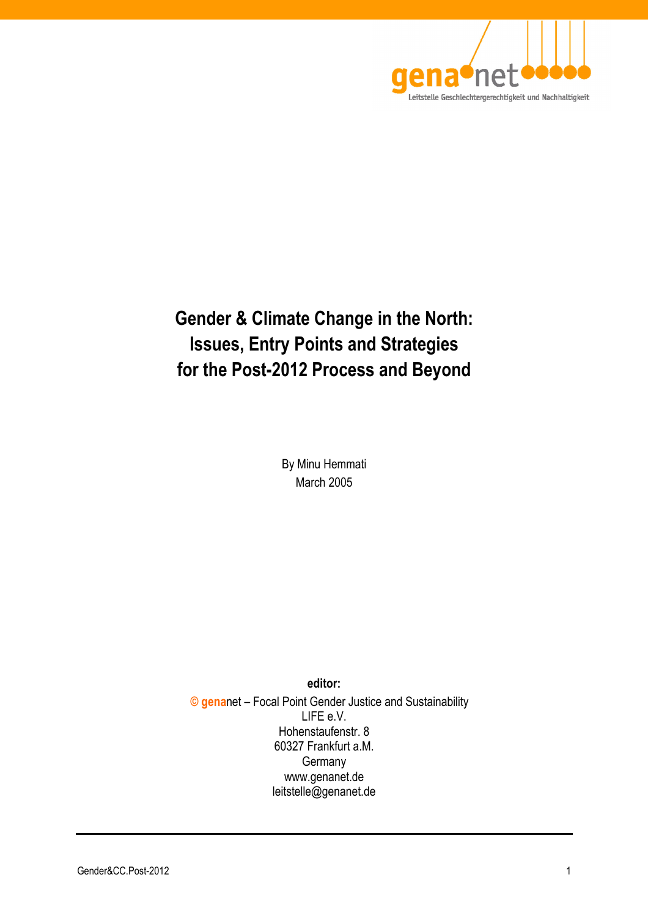

# **Gender & Climate Change in the North: Issues, Entry Points and Strategies for the Post-2012 Process and Beyond**

By Minu Hemmati March 2005

**editor: © gena**net – Focal Point Gender Justice and Sustainability LIFE e.V. Hohenstaufenstr. 8 60327 Frankfurt a.M. **Germany** www.genanet.de leitstelle@genanet.de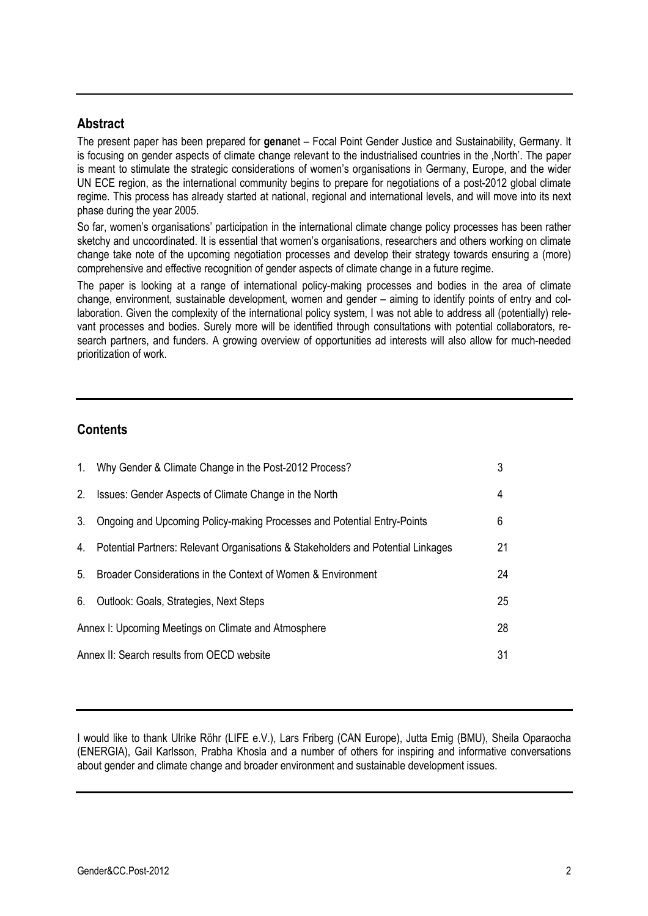### **Abstract**

The present paper has been prepared for **gena**net – Focal Point Gender Justice and Sustainability, Germany. It is focusing on gender aspects of climate change relevant to the industrialised countries in the 'North'. The paper is meant to stimulate the strategic considerations of women's organisations in Germany, Europe, and the wider UN ECE region, as the international community begins to prepare for negotiations of a post-2012 global climate regime. This process has already started at national, regional and international levels, and will move into its next phase during the year 2005.

So far, women's organisations' participation in the international climate change policy processes has been rather sketchy and uncoordinated. It is essential that women's organisations, researchers and others working on climate change take note of the upcoming negotiation processes and develop their strategy towards ensuring a (more) comprehensive and effective recognition of gender aspects of climate change in a future regime.

The paper is looking at a range of international policy-making processes and bodies in the area of climate change, environment, sustainable development, women and gender – aiming to identify points of entry and collaboration. Given the complexity of the international policy system, I was not able to address all (potentially) relevant processes and bodies. Surely more will be identified through consultations with potential collaborators, research partners, and funders. A growing overview of opportunities ad interests will also allow for much-needed prioritization of work.

# **Contents**

| $1_{\cdot}$                                          | Why Gender & Climate Change in the Post-2012 Process?                            | 3  |
|------------------------------------------------------|----------------------------------------------------------------------------------|----|
| 2 <sub>1</sub>                                       | Issues: Gender Aspects of Climate Change in the North                            | 4  |
| 3.                                                   | Ongoing and Upcoming Policy-making Processes and Potential Entry-Points          | 6  |
| 4.                                                   | Potential Partners: Relevant Organisations & Stakeholders and Potential Linkages | 21 |
| 5.                                                   | Broader Considerations in the Context of Women & Environment                     | 24 |
| 6.                                                   | Outlook: Goals, Strategies, Next Steps                                           | 25 |
| Annex I: Upcoming Meetings on Climate and Atmosphere |                                                                                  | 28 |
|                                                      | Annex II: Search results from OECD website                                       |    |

I would like to thank Ulrike Röhr (LIFE e.V.), Lars Friberg (CAN Europe), Jutta Emig (BMU), Sheila Oparaocha (ENERGIA), Gail Karlsson, Prabha Khosla and a number of others for inspiring and informative conversations about gender and climate change and broader environment and sustainable development issues.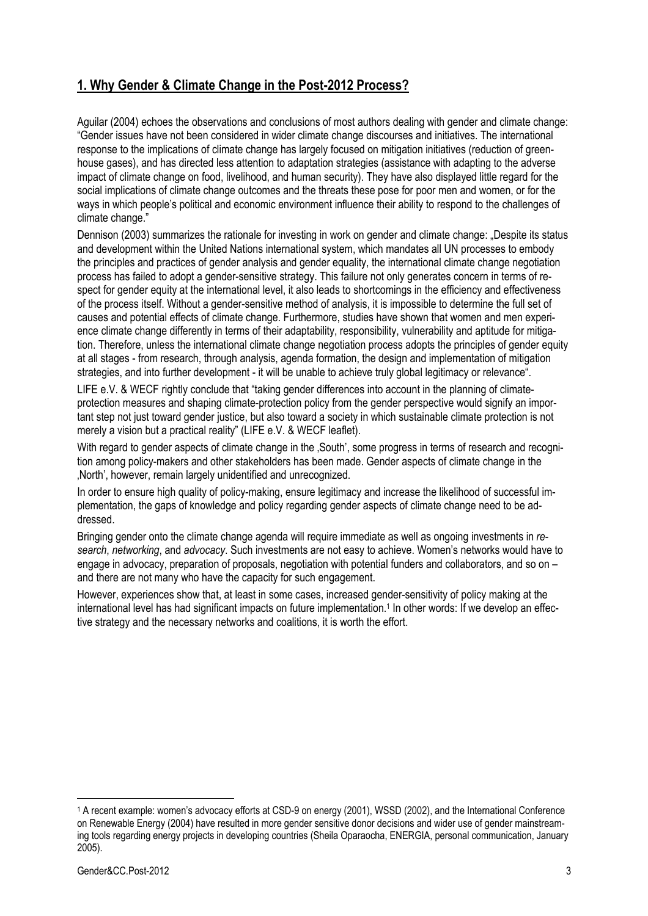# **1. Why Gender & Climate Change in the Post-2012 Process?**

Aguilar (2004) echoes the observations and conclusions of most authors dealing with gender and climate change: "Gender issues have not been considered in wider climate change discourses and initiatives. The international response to the implications of climate change has largely focused on mitigation initiatives (reduction of greenhouse gases), and has directed less attention to adaptation strategies (assistance with adapting to the adverse impact of climate change on food, livelihood, and human security). They have also displayed little regard for the social implications of climate change outcomes and the threats these pose for poor men and women, or for the ways in which people's political and economic environment influence their ability to respond to the challenges of climate change."

Dennison (2003) summarizes the rationale for investing in work on gender and climate change: "Despite its status and development within the United Nations international system, which mandates all UN processes to embody the principles and practices of gender analysis and gender equality, the international climate change negotiation process has failed to adopt a gender-sensitive strategy. This failure not only generates concern in terms of respect for gender equity at the international level, it also leads to shortcomings in the efficiency and effectiveness of the process itself. Without a gender-sensitive method of analysis, it is impossible to determine the full set of causes and potential effects of climate change. Furthermore, studies have shown that women and men experience climate change differently in terms of their adaptability, responsibility, vulnerability and aptitude for mitigation. Therefore, unless the international climate change negotiation process adopts the principles of gender equity at all stages - from research, through analysis, agenda formation, the design and implementation of mitigation strategies, and into further development - it will be unable to achieve truly global legitimacy or relevance".

LIFE e.V. & WECF rightly conclude that "taking gender differences into account in the planning of climateprotection measures and shaping climate-protection policy from the gender perspective would signify an important step not just toward gender justice, but also toward a society in which sustainable climate protection is not merely a vision but a practical reality" (LIFE e.V. & WECF leaflet).

With regard to gender aspects of climate change in the ,South', some progress in terms of research and recognition among policy-makers and other stakeholders has been made. Gender aspects of climate change in the 'North', however, remain largely unidentified and unrecognized.

In order to ensure high quality of policy-making, ensure legitimacy and increase the likelihood of successful implementation, the gaps of knowledge and policy regarding gender aspects of climate change need to be addressed.

Bringing gender onto the climate change agenda will require immediate as well as ongoing investments in *research*, *networking*, and *advocacy*. Such investments are not easy to achieve. Women's networks would have to engage in advocacy, preparation of proposals, negotiation with potential funders and collaborators, and so on – and there are not many who have the capacity for such engagement.

However, experiences show that, at least in some cases, increased gender-sensitivity of policy making at the international level has had significant impacts on future implementation.<sup>1</sup> In other words: If we develop an effective strategy and the necessary networks and coalitions, it is worth the effort.

<sup>1</sup> A recent example: women's advocacy efforts at CSD-9 on energy (2001), WSSD (2002), and the International Conference on Renewable Energy (2004) have resulted in more gender sensitive donor decisions and wider use of gender mainstreaming tools regarding energy projects in developing countries (Sheila Oparaocha, ENERGIA, personal communication, January 2005).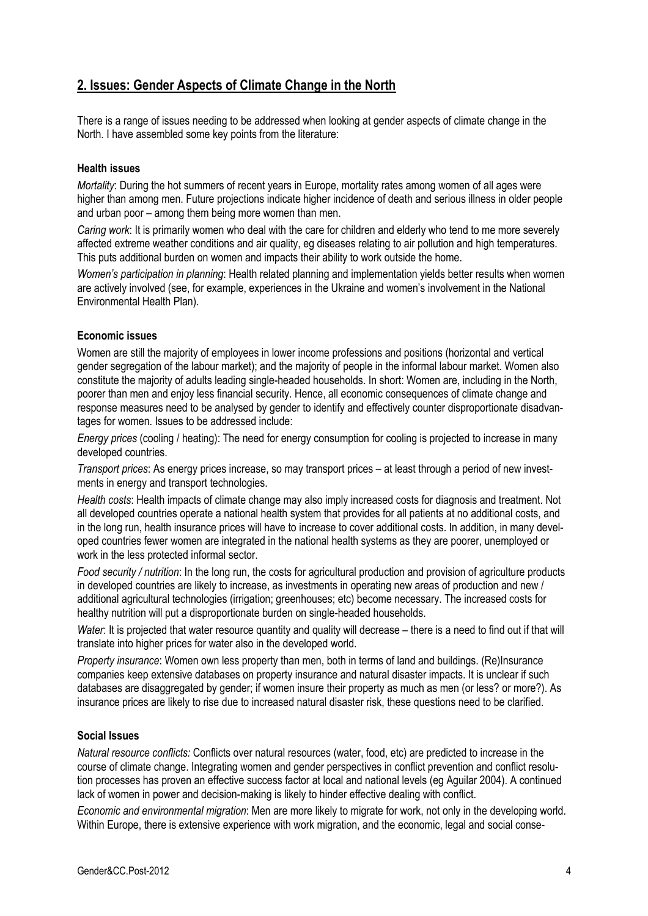# **2. Issues: Gender Aspects of Climate Change in the North**

There is a range of issues needing to be addressed when looking at gender aspects of climate change in the North. I have assembled some key points from the literature:

#### **Health issues**

*Mortality*: During the hot summers of recent years in Europe, mortality rates among women of all ages were higher than among men. Future projections indicate higher incidence of death and serious illness in older people and urban poor – among them being more women than men.

*Caring work*: It is primarily women who deal with the care for children and elderly who tend to me more severely affected extreme weather conditions and air quality, eg diseases relating to air pollution and high temperatures. This puts additional burden on women and impacts their ability to work outside the home.

*Women's participation in planning*: Health related planning and implementation yields better results when women are actively involved (see, for example, experiences in the Ukraine and women's involvement in the National Environmental Health Plan).

#### **Economic issues**

Women are still the majority of employees in lower income professions and positions (horizontal and vertical gender segregation of the labour market); and the majority of people in the informal labour market. Women also constitute the majority of adults leading single-headed households. In short: Women are, including in the North, poorer than men and enjoy less financial security. Hence, all economic consequences of climate change and response measures need to be analysed by gender to identify and effectively counter disproportionate disadvantages for women. Issues to be addressed include:

*Energy prices* (cooling / heating): The need for energy consumption for cooling is projected to increase in many developed countries.

*Transport prices*: As energy prices increase, so may transport prices – at least through a period of new investments in energy and transport technologies.

*Health costs*: Health impacts of climate change may also imply increased costs for diagnosis and treatment. Not all developed countries operate a national health system that provides for all patients at no additional costs, and in the long run, health insurance prices will have to increase to cover additional costs. In addition, in many developed countries fewer women are integrated in the national health systems as they are poorer, unemployed or work in the less protected informal sector.

*Food security / nutrition*: In the long run, the costs for agricultural production and provision of agriculture products in developed countries are likely to increase, as investments in operating new areas of production and new / additional agricultural technologies (irrigation; greenhouses; etc) become necessary. The increased costs for healthy nutrition will put a disproportionate burden on single-headed households.

*Water*: It is projected that water resource quantity and quality will decrease – there is a need to find out if that will translate into higher prices for water also in the developed world.

*Property insurance*: Women own less property than men, both in terms of land and buildings. (Re)Insurance companies keep extensive databases on property insurance and natural disaster impacts. It is unclear if such databases are disaggregated by gender; if women insure their property as much as men (or less? or more?). As insurance prices are likely to rise due to increased natural disaster risk, these questions need to be clarified.

#### **Social Issues**

*Natural resource conflicts:* Conflicts over natural resources (water, food, etc) are predicted to increase in the course of climate change. Integrating women and gender perspectives in conflict prevention and conflict resolution processes has proven an effective success factor at local and national levels (eg Aguilar 2004). A continued lack of women in power and decision-making is likely to hinder effective dealing with conflict.

*Economic and environmental migration*: Men are more likely to migrate for work, not only in the developing world. Within Europe, there is extensive experience with work migration, and the economic, legal and social conse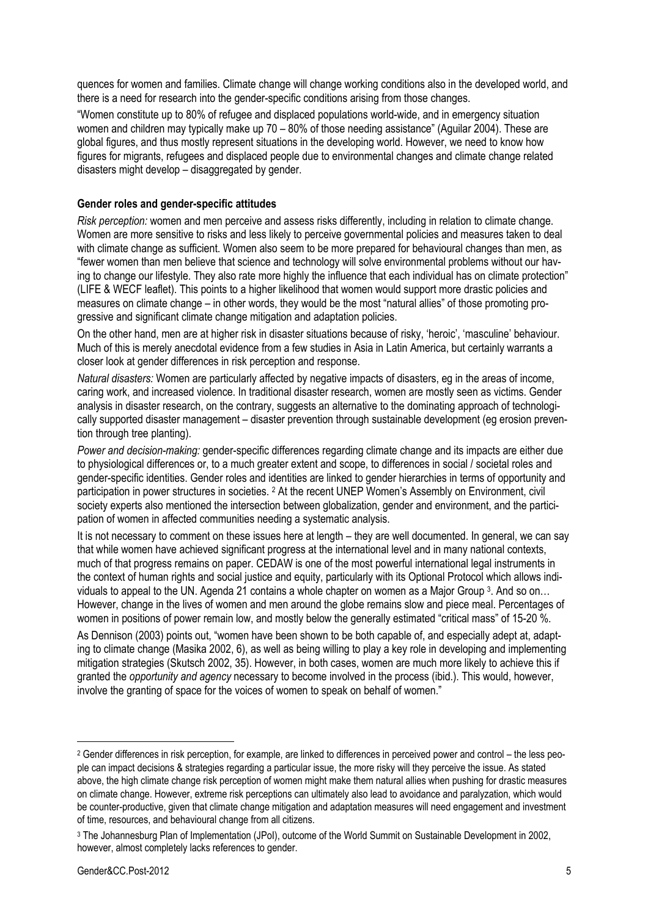quences for women and families. Climate change will change working conditions also in the developed world, and there is a need for research into the gender-specific conditions arising from those changes.

"Women constitute up to 80% of refugee and displaced populations world-wide, and in emergency situation women and children may typically make up 70 – 80% of those needing assistance" (Aguilar 2004). These are global figures, and thus mostly represent situations in the developing world. However, we need to know how figures for migrants, refugees and displaced people due to environmental changes and climate change related disasters might develop – disaggregated by gender.

#### **Gender roles and gender-specific attitudes**

*Risk perception:* women and men perceive and assess risks differently, including in relation to climate change. Women are more sensitive to risks and less likely to perceive governmental policies and measures taken to deal with climate change as sufficient. Women also seem to be more prepared for behavioural changes than men, as "fewer women than men believe that science and technology will solve environmental problems without our having to change our lifestyle. They also rate more highly the influence that each individual has on climate protection" (LIFE & WECF leaflet). This points to a higher likelihood that women would support more drastic policies and measures on climate change – in other words, they would be the most "natural allies" of those promoting progressive and significant climate change mitigation and adaptation policies.

On the other hand, men are at higher risk in disaster situations because of risky, 'heroic', 'masculine' behaviour. Much of this is merely anecdotal evidence from a few studies in Asia in Latin America, but certainly warrants a closer look at gender differences in risk perception and response.

*Natural disasters:* Women are particularly affected by negative impacts of disasters, eg in the areas of income, caring work, and increased violence. In traditional disaster research, women are mostly seen as victims. Gender analysis in disaster research, on the contrary, suggests an alternative to the dominating approach of technologically supported disaster management – disaster prevention through sustainable development (eg erosion prevention through tree planting).

*Power and decision-making:* gender-specific differences regarding climate change and its impacts are either due to physiological differences or, to a much greater extent and scope, to differences in social / societal roles and gender-specific identities. Gender roles and identities are linked to gender hierarchies in terms of opportunity and participation in power structures in societies. 2 At the recent UNEP Women's Assembly on Environment, civil society experts also mentioned the intersection between globalization, gender and environment, and the participation of women in affected communities needing a systematic analysis.

It is not necessary to comment on these issues here at length – they are well documented. In general, we can say that while women have achieved significant progress at the international level and in many national contexts, much of that progress remains on paper. CEDAW is one of the most powerful international legal instruments in the context of human rights and social justice and equity, particularly with its Optional Protocol which allows individuals to appeal to the UN. Agenda 21 contains a whole chapter on women as a Major Group 3. And so on… However, change in the lives of women and men around the globe remains slow and piece meal. Percentages of women in positions of power remain low, and mostly below the generally estimated "critical mass" of 15-20 %.

As Dennison (2003) points out, "women have been shown to be both capable of, and especially adept at, adapting to climate change (Masika 2002, 6), as well as being willing to play a key role in developing and implementing mitigation strategies (Skutsch 2002, 35). However, in both cases, women are much more likely to achieve this if granted the *opportunity and agency* necessary to become involved in the process (ibid.). This would, however, involve the granting of space for the voices of women to speak on behalf of women."

<sup>2</sup> Gender differences in risk perception, for example, are linked to differences in perceived power and control – the less people can impact decisions & strategies regarding a particular issue, the more risky will they perceive the issue. As stated above, the high climate change risk perception of women might make them natural allies when pushing for drastic measures on climate change. However, extreme risk perceptions can ultimately also lead to avoidance and paralyzation, which would be counter-productive, given that climate change mitigation and adaptation measures will need engagement and investment of time, resources, and behavioural change from all citizens.

<sup>&</sup>lt;sup>3</sup> The Johannesburg Plan of Implementation (JPoI), outcome of the World Summit on Sustainable Development in 2002, however, almost completely lacks references to gender.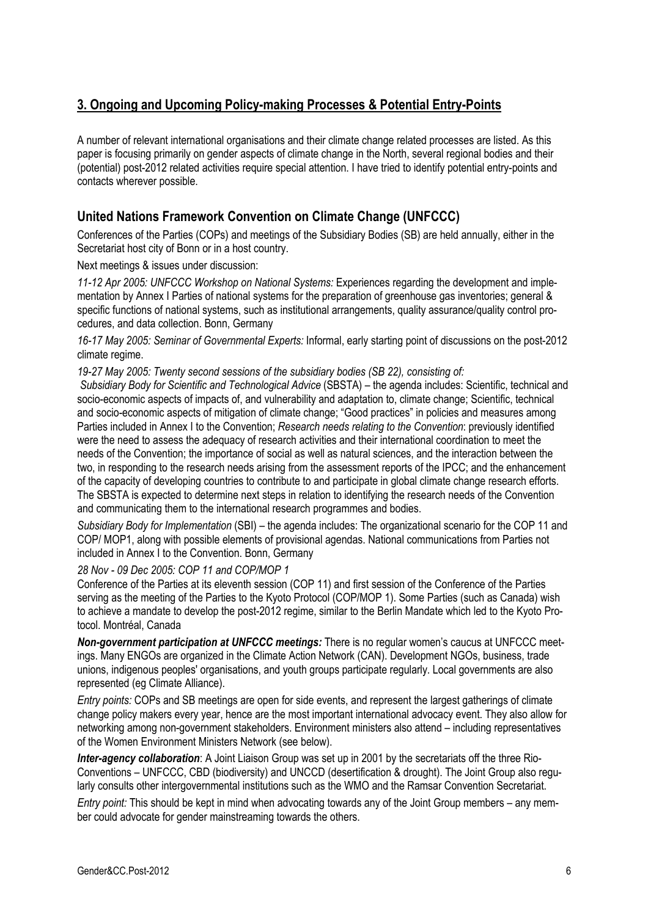# **3. Ongoing and Upcoming Policy-making Processes & Potential Entry-Points**

A number of relevant international organisations and their climate change related processes are listed. As this paper is focusing primarily on gender aspects of climate change in the North, several regional bodies and their (potential) post-2012 related activities require special attention. I have tried to identify potential entry-points and contacts wherever possible.

# **United Nations Framework Convention on Climate Change (UNFCCC)**

Conferences of the Parties (COPs) and meetings of the Subsidiary Bodies (SB) are held annually, either in the Secretariat host city of Bonn or in a host country.

Next meetings & issues under discussion:

*11-12 Apr 2005: UNFCCC Workshop on National Systems:* Experiences regarding the development and implementation by Annex I Parties of national systems for the preparation of greenhouse gas inventories; general & specific functions of national systems, such as institutional arrangements, quality assurance/quality control procedures, and data collection. Bonn, Germany

*16-17 May 2005: Seminar of Governmental Experts:* Informal, early starting point of discussions on the post-2012 climate regime.

*19-27 May 2005: Twenty second sessions of the subsidiary bodies (SB 22), consisting of:* 

 *Subsidiary Body for Scientific and Technological Advice* (SBSTA) – the agenda includes: Scientific, technical and socio-economic aspects of impacts of, and vulnerability and adaptation to, climate change; Scientific, technical and socio-economic aspects of mitigation of climate change; "Good practices" in policies and measures among Parties included in Annex I to the Convention; *Research needs relating to the Convention*: previously identified were the need to assess the adequacy of research activities and their international coordination to meet the needs of the Convention; the importance of social as well as natural sciences, and the interaction between the two, in responding to the research needs arising from the assessment reports of the IPCC; and the enhancement of the capacity of developing countries to contribute to and participate in global climate change research efforts. The SBSTA is expected to determine next steps in relation to identifying the research needs of the Convention and communicating them to the international research programmes and bodies.

*Subsidiary Body for Implementation* (SBI) – the agenda includes: The organizational scenario for the COP 11 and COP/ MOP1, along with possible elements of provisional agendas. National communications from Parties not included in Annex I to the Convention. Bonn, Germany

*28 Nov - 09 Dec 2005: COP 11 and COP/MOP 1*

Conference of the Parties at its eleventh session (COP 11) and first session of the Conference of the Parties serving as the meeting of the Parties to the Kyoto Protocol (COP/MOP 1). Some Parties (such as Canada) wish to achieve a mandate to develop the post-2012 regime, similar to the Berlin Mandate which led to the Kyoto Protocol. Montréal, Canada

*Non-government participation at UNFCCC meetings:* There is no regular women's caucus at UNFCCC meetings. Many ENGOs are organized in the Climate Action Network (CAN). Development NGOs, business, trade unions, indigenous peoples' organisations, and youth groups participate regularly. Local governments are also represented (eg Climate Alliance).

*Entry points:* COPs and SB meetings are open for side events, and represent the largest gatherings of climate change policy makers every year, hence are the most important international advocacy event. They also allow for networking among non-government stakeholders. Environment ministers also attend – including representatives of the Women Environment Ministers Network (see below).

*Inter-agency collaboration*: A Joint Liaison Group was set up in 2001 by the secretariats off the three Rio-Conventions – UNFCCC, CBD (biodiversity) and UNCCD (desertification & drought). The Joint Group also regularly consults other intergovernmental institutions such as the WMO and the Ramsar Convention Secretariat.

*Entry point:* This should be kept in mind when advocating towards any of the Joint Group members – any member could advocate for gender mainstreaming towards the others.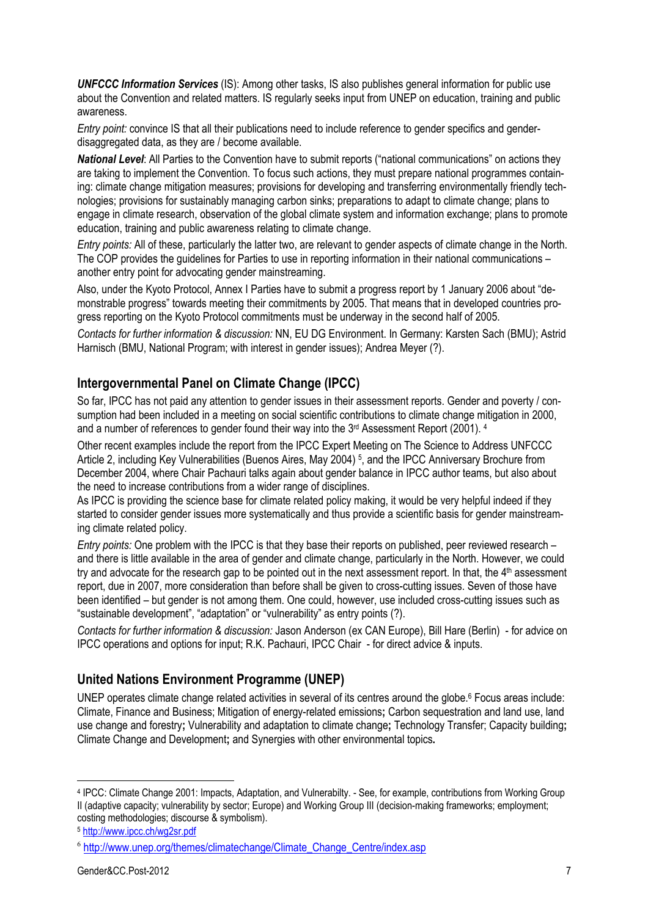*UNFCCC Information Services* (IS): Among other tasks, IS also publishes general information for public use about the Convention and related matters. IS regularly seeks input from UNEP on education, training and public awareness.

*Entry point:* convince IS that all their publications need to include reference to gender specifics and genderdisaggregated data, as they are / become available.

*National Level*: All Parties to the Convention have to submit reports ("national communications" on actions they are taking to implement the Convention. To focus such actions, they must prepare national programmes containing: climate change mitigation measures; provisions for developing and transferring environmentally friendly technologies; provisions for sustainably managing carbon sinks; preparations to adapt to climate change; plans to engage in climate research, observation of the global climate system and information exchange; plans to promote education, training and public awareness relating to climate change.

*Entry points:* All of these, particularly the latter two, are relevant to gender aspects of climate change in the North. The COP provides the guidelines for Parties to use in reporting information in their national communications – another entry point for advocating gender mainstreaming.

Also, under the Kyoto Protocol, Annex I Parties have to submit a progress report by 1 January 2006 about "demonstrable progress" towards meeting their commitments by 2005. That means that in developed countries progress reporting on the Kyoto Protocol commitments must be underway in the second half of 2005.

*Contacts for further information & discussion:* NN, EU DG Environment. In Germany: Karsten Sach (BMU); Astrid Harnisch (BMU, National Program; with interest in gender issues); Andrea Meyer (?).

### **Intergovernmental Panel on Climate Change (IPCC)**

So far, IPCC has not paid any attention to gender issues in their assessment reports. Gender and poverty / consumption had been included in a meeting on social scientific contributions to climate change mitigation in 2000, and a number of references to gender found their way into the 3<sup>rd</sup> Assessment Report (2001). <sup>4</sup>

Other recent examples include the report from the IPCC Expert Meeting on The Science to Address UNFCCC Article 2, including Key Vulnerabilities (Buenos Aires, May 2004) 5, and the IPCC Anniversary Brochure from December 2004, where Chair Pachauri talks again about gender balance in IPCC author teams, but also about the need to increase contributions from a wider range of disciplines.

As IPCC is providing the science base for climate related policy making, it would be very helpful indeed if they started to consider gender issues more systematically and thus provide a scientific basis for gender mainstreaming climate related policy.

*Entry points:* One problem with the IPCC is that they base their reports on published, peer reviewed research – and there is little available in the area of gender and climate change, particularly in the North. However, we could try and advocate for the research gap to be pointed out in the next assessment report. In that, the 4th assessment report, due in 2007, more consideration than before shall be given to cross-cutting issues. Seven of those have been identified – but gender is not among them. One could, however, use included cross-cutting issues such as "sustainable development", "adaptation" or "vulnerability" as entry points (?).

*Contacts for further information & discussion:* Jason Anderson (ex CAN Europe), Bill Hare (Berlin) - for advice on IPCC operations and options for input; R.K. Pachauri, IPCC Chair - for direct advice & inputs.

# **United Nations Environment Programme (UNEP)**

UNEP operates climate change related activities in several of its centres around the globe.<sup>6</sup> Focus areas include: Climate, Finance and Business; Mitigation of energy-related emissions**;** Carbon sequestration and land use, land use change and forestry**;** Vulnerability and adaptation to climate change**;** Technology Transfer; Capacity building**;**  Climate Change and Development**;** and Synergies with other environmental topics**.** 

<sup>4</sup> IPCC: Climate Change 2001: Impacts, Adaptation, and Vulnerabilty. - See, for example, contributions from Working Group II (adaptive capacity; vulnerability by sector; Europe) and Working Group III (decision-making frameworks; employment; costing methodologies; discourse & symbolism).

<sup>5</sup> http://www.ipcc.ch/wg2sr.pdf

<sup>6</sup> http://www.unep.org/themes/climatechange/Climate\_Change\_Centre/index.asp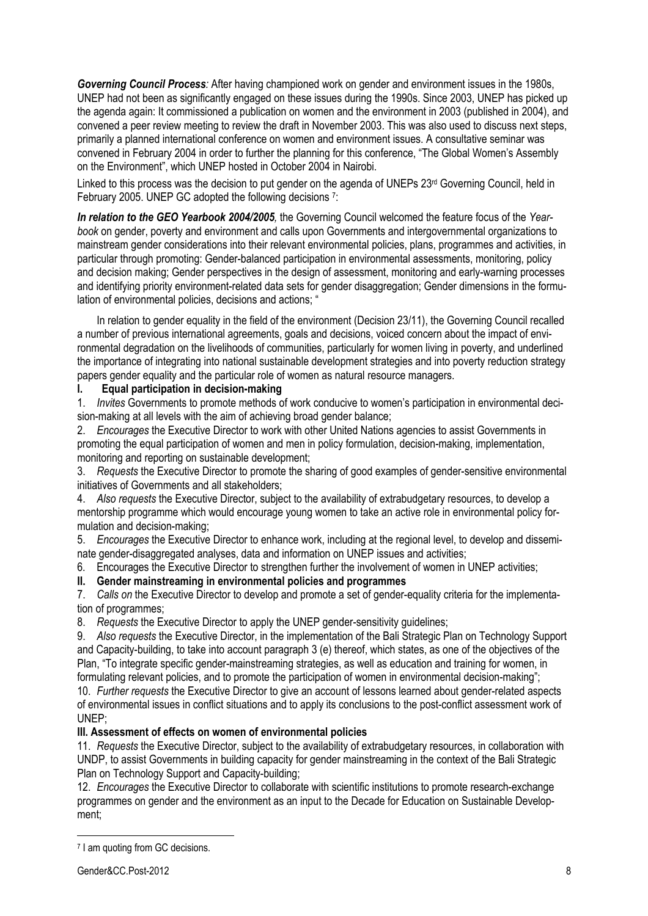*Governing Council Process:* After having championed work on gender and environment issues in the 1980s, UNEP had not been as significantly engaged on these issues during the 1990s. Since 2003, UNEP has picked up the agenda again: It commissioned a publication on women and the environment in 2003 (published in 2004), and convened a peer review meeting to review the draft in November 2003. This was also used to discuss next steps, primarily a planned international conference on women and environment issues. A consultative seminar was convened in February 2004 in order to further the planning for this conference, "The Global Women's Assembly on the Environment", which UNEP hosted in October 2004 in Nairobi.

Linked to this process was the decision to put gender on the agenda of UNEPs 23<sup>rd</sup> Governing Council, held in February 2005. UNEP GC adopted the following decisions <sup>7</sup>:

*In relation to the GEO Yearbook 2004/2005,* the Governing Council welcomed the feature focus of the *Yearbook* on gender, poverty and environment and calls upon Governments and intergovernmental organizations to mainstream gender considerations into their relevant environmental policies, plans, programmes and activities, in particular through promoting: Gender-balanced participation in environmental assessments, monitoring, policy and decision making; Gender perspectives in the design of assessment, monitoring and early-warning processes and identifying priority environment-related data sets for gender disaggregation; Gender dimensions in the formulation of environmental policies, decisions and actions; "

In relation to gender equality in the field of the environment (Decision 23/11), the Governing Council recalled a number of previous international agreements, goals and decisions, voiced concern about the impact of environmental degradation on the livelihoods of communities, particularly for women living in poverty, and underlined the importance of integrating into national sustainable development strategies and into poverty reduction strategy papers gender equality and the particular role of women as natural resource managers.

#### **I. Equal participation in decision-making**

1. *Invites* Governments to promote methods of work conducive to women's participation in environmental decision-making at all levels with the aim of achieving broad gender balance;

2. *Encourages* the Executive Director to work with other United Nations agencies to assist Governments in promoting the equal participation of women and men in policy formulation, decision-making, implementation, monitoring and reporting on sustainable development;

3. *Requests* the Executive Director to promote the sharing of good examples of gender-sensitive environmental initiatives of Governments and all stakeholders;

4. *Also requests* the Executive Director, subject to the availability of extrabudgetary resources, to develop a mentorship programme which would encourage young women to take an active role in environmental policy formulation and decision-making;

5. *Encourages* the Executive Director to enhance work, including at the regional level, to develop and disseminate gender-disaggregated analyses, data and information on UNEP issues and activities;

6. Encourages the Executive Director to strengthen further the involvement of women in UNEP activities;

#### **II. Gender mainstreaming in environmental policies and programmes**

7. *Calls on* the Executive Director to develop and promote a set of gender-equality criteria for the implementation of programmes;

8. *Requests* the Executive Director to apply the UNEP gender-sensitivity guidelines;

9. *Also requests* the Executive Director, in the implementation of the Bali Strategic Plan on Technology Support and Capacity-building, to take into account paragraph 3 (e) thereof, which states, as one of the objectives of the Plan, "To integrate specific gender-mainstreaming strategies, as well as education and training for women, in formulating relevant policies, and to promote the participation of women in environmental decision-making";

10. *Further requests* the Executive Director to give an account of lessons learned about gender-related aspects of environmental issues in conflict situations and to apply its conclusions to the post-conflict assessment work of UNEP;

#### **III. Assessment of effects on women of environmental policies**

11. *Requests* the Executive Director, subject to the availability of extrabudgetary resources, in collaboration with UNDP, to assist Governments in building capacity for gender mainstreaming in the context of the Bali Strategic Plan on Technology Support and Capacity-building;

12. *Encourages* the Executive Director to collaborate with scientific institutions to promote research-exchange programmes on gender and the environment as an input to the Decade for Education on Sustainable Development;

<sup>7</sup> I am quoting from GC decisions.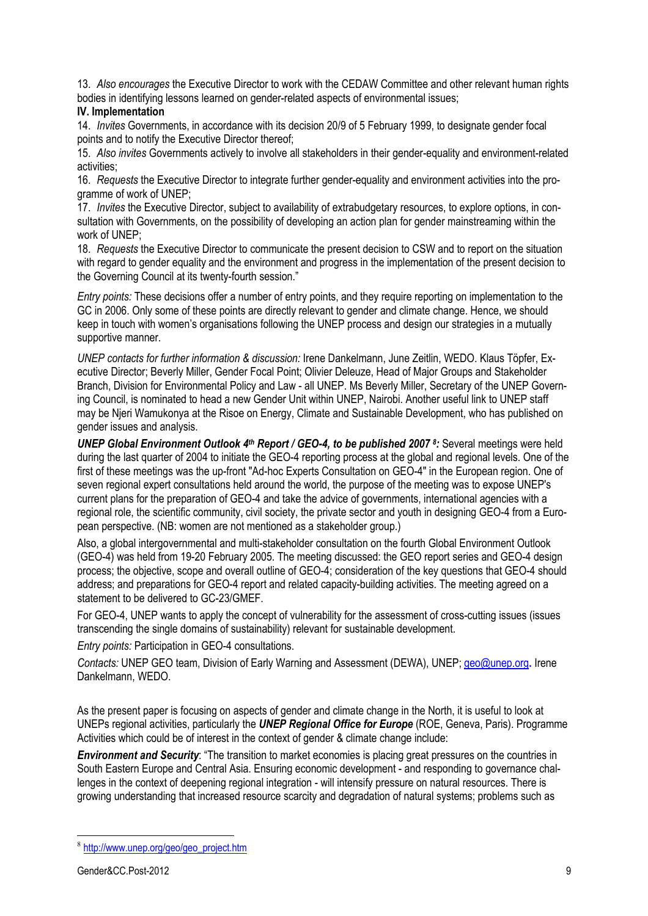13. *Also encourages* the Executive Director to work with the CEDAW Committee and other relevant human rights bodies in identifying lessons learned on gender-related aspects of environmental issues;

#### **IV. Implementation**

14. *Invites* Governments, in accordance with its decision 20/9 of 5 February 1999, to designate gender focal points and to notify the Executive Director thereof;

15. *Also invites* Governments actively to involve all stakeholders in their gender-equality and environment-related activities;

16. *Requests* the Executive Director to integrate further gender-equality and environment activities into the programme of work of UNEP;

17. *Invites* the Executive Director, subject to availability of extrabudgetary resources, to explore options, in consultation with Governments, on the possibility of developing an action plan for gender mainstreaming within the work of UNEP;

18. *Requests* the Executive Director to communicate the present decision to CSW and to report on the situation with regard to gender equality and the environment and progress in the implementation of the present decision to the Governing Council at its twenty-fourth session."

*Entry points:* These decisions offer a number of entry points, and they require reporting on implementation to the GC in 2006. Only some of these points are directly relevant to gender and climate change. Hence, we should keep in touch with women's organisations following the UNEP process and design our strategies in a mutually supportive manner.

*UNEP contacts for further information & discussion:* Irene Dankelmann, June Zeitlin, WEDO. Klaus Töpfer, Executive Director; Beverly Miller, Gender Focal Point; Olivier Deleuze, Head of Major Groups and Stakeholder Branch, Division for Environmental Policy and Law - all UNEP. Ms Beverly Miller, Secretary of the UNEP Governing Council, is nominated to head a new Gender Unit within UNEP, Nairobi. Another useful link to UNEP staff may be Njeri Wamukonya at the Risoe on Energy, Climate and Sustainable Development, who has published on gender issues and analysis.

*UNEP Global Environment Outlook 4th Report / GEO-4, to be published 2007 8:* Several meetings were held during the last quarter of 2004 to initiate the GEO-4 reporting process at the global and regional levels. One of the first of these meetings was the up-front "Ad-hoc Experts Consultation on GEO-4" in the European region. One of seven regional expert consultations held around the world, the purpose of the meeting was to expose UNEP's current plans for the preparation of GEO-4 and take the advice of governments, international agencies with a regional role, the scientific community, civil society, the private sector and youth in designing GEO-4 from a European perspective. (NB: women are not mentioned as a stakeholder group.)

Also, a global intergovernmental and multi-stakeholder consultation on the fourth Global Environment Outlook (GEO-4) was held from 19-20 February 2005. The meeting discussed: the GEO report series and GEO-4 design process; the objective, scope and overall outline of GEO-4; consideration of the key questions that GEO-4 should address; and preparations for GEO-4 report and related capacity-building activities. The meeting agreed on a statement to be delivered to GC-23/GMEF.

For GEO-4, UNEP wants to apply the concept of vulnerability for the assessment of cross-cutting issues (issues transcending the single domains of sustainability) relevant for sustainable development.

#### *Entry points:* Participation in GEO-4 consultations.

*Contacts:* UNEP GEO team, Division of Early Warning and Assessment (DEWA), UNEP; geo@unep.org**.** Irene Dankelmann, WEDO.

As the present paper is focusing on aspects of gender and climate change in the North, it is useful to look at UNEPs regional activities, particularly the *UNEP Regional Office for Europe* (ROE, Geneva, Paris). Programme Activities which could be of interest in the context of gender & climate change include:

*Environment and Security*: "The transition to market economies is placing great pressures on the countries in South Eastern Europe and Central Asia. Ensuring economic development - and responding to governance challenges in the context of deepening regional integration - will intensify pressure on natural resources. There is growing understanding that increased resource scarcity and degradation of natural systems; problems such as

<sup>8</sup> http://www.unep.org/geo/geo\_project.htm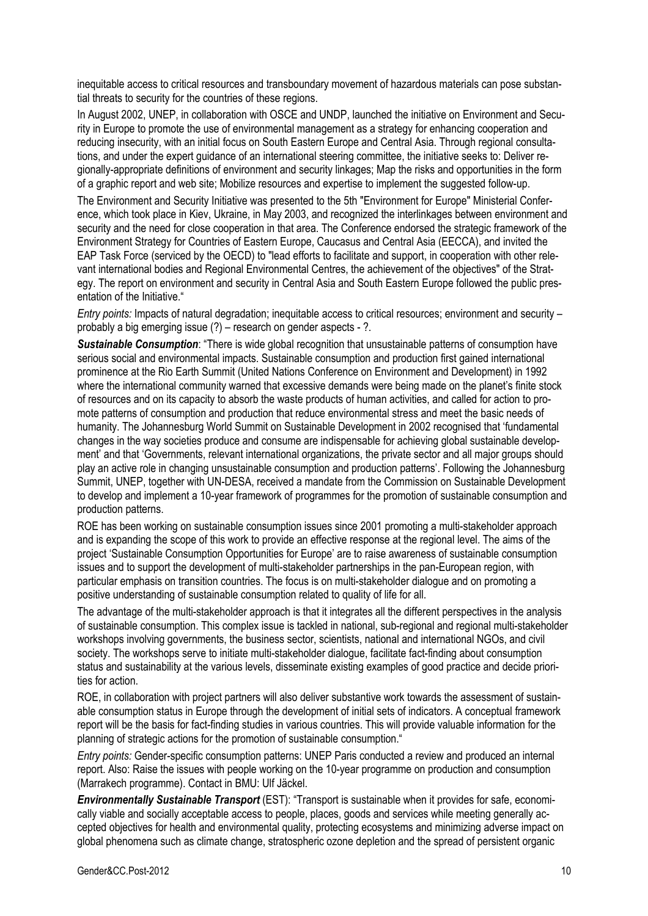inequitable access to critical resources and transboundary movement of hazardous materials can pose substantial threats to security for the countries of these regions.

In August 2002, UNEP, in collaboration with OSCE and UNDP, launched the initiative on Environment and Security in Europe to promote the use of environmental management as a strategy for enhancing cooperation and reducing insecurity, with an initial focus on South Eastern Europe and Central Asia. Through regional consultations, and under the expert guidance of an international steering committee, the initiative seeks to: Deliver regionally-appropriate definitions of environment and security linkages; Map the risks and opportunities in the form of a graphic report and web site; Mobilize resources and expertise to implement the suggested follow-up.

The Environment and Security Initiative was presented to the 5th "Environment for Europe" Ministerial Conference, which took place in Kiev, Ukraine, in May 2003, and recognized the interlinkages between environment and security and the need for close cooperation in that area. The Conference endorsed the strategic framework of the Environment Strategy for Countries of Eastern Europe, Caucasus and Central Asia (EECCA), and invited the EAP Task Force (serviced by the OECD) to "lead efforts to facilitate and support, in cooperation with other relevant international bodies and Regional Environmental Centres, the achievement of the objectives" of the Strategy. The report on environment and security in Central Asia and South Eastern Europe followed the public presentation of the Initiative."

*Entry points:* Impacts of natural degradation; inequitable access to critical resources; environment and security – probably a big emerging issue (?) – research on gender aspects - ?.

*Sustainable Consumption*: "There is wide global recognition that unsustainable patterns of consumption have serious social and environmental impacts. Sustainable consumption and production first gained international prominence at the Rio Earth Summit (United Nations Conference on Environment and Development) in 1992 where the international community warned that excessive demands were being made on the planet's finite stock of resources and on its capacity to absorb the waste products of human activities, and called for action to promote patterns of consumption and production that reduce environmental stress and meet the basic needs of humanity. The Johannesburg World Summit on Sustainable Development in 2002 recognised that 'fundamental changes in the way societies produce and consume are indispensable for achieving global sustainable development' and that 'Governments, relevant international organizations, the private sector and all major groups should play an active role in changing unsustainable consumption and production patterns'. Following the Johannesburg Summit, UNEP, together with UN-DESA, received a mandate from the Commission on Sustainable Development to develop and implement a 10-year framework of programmes for the promotion of sustainable consumption and production patterns.

ROE has been working on sustainable consumption issues since 2001 promoting a multi-stakeholder approach and is expanding the scope of this work to provide an effective response at the regional level. The aims of the project 'Sustainable Consumption Opportunities for Europe' are to raise awareness of sustainable consumption issues and to support the development of multi-stakeholder partnerships in the pan-European region, with particular emphasis on transition countries. The focus is on multi-stakeholder dialogue and on promoting a positive understanding of sustainable consumption related to quality of life for all.

The advantage of the multi-stakeholder approach is that it integrates all the different perspectives in the analysis of sustainable consumption. This complex issue is tackled in national, sub-regional and regional multi-stakeholder workshops involving governments, the business sector, scientists, national and international NGOs, and civil society. The workshops serve to initiate multi-stakeholder dialogue, facilitate fact-finding about consumption status and sustainability at the various levels, disseminate existing examples of good practice and decide priorities for action.

ROE, in collaboration with project partners will also deliver substantive work towards the assessment of sustainable consumption status in Europe through the development of initial sets of indicators. A conceptual framework report will be the basis for fact-finding studies in various countries. This will provide valuable information for the planning of strategic actions for the promotion of sustainable consumption."

*Entry points:* Gender-specific consumption patterns: UNEP Paris conducted a review and produced an internal report. Also: Raise the issues with people working on the 10-year programme on production and consumption (Marrakech programme). Contact in BMU: Ulf Jäckel.

*Environmentally Sustainable Transport* (EST): "Transport is sustainable when it provides for safe, economically viable and socially acceptable access to people, places, goods and services while meeting generally accepted objectives for health and environmental quality, protecting ecosystems and minimizing adverse impact on global phenomena such as climate change, stratospheric ozone depletion and the spread of persistent organic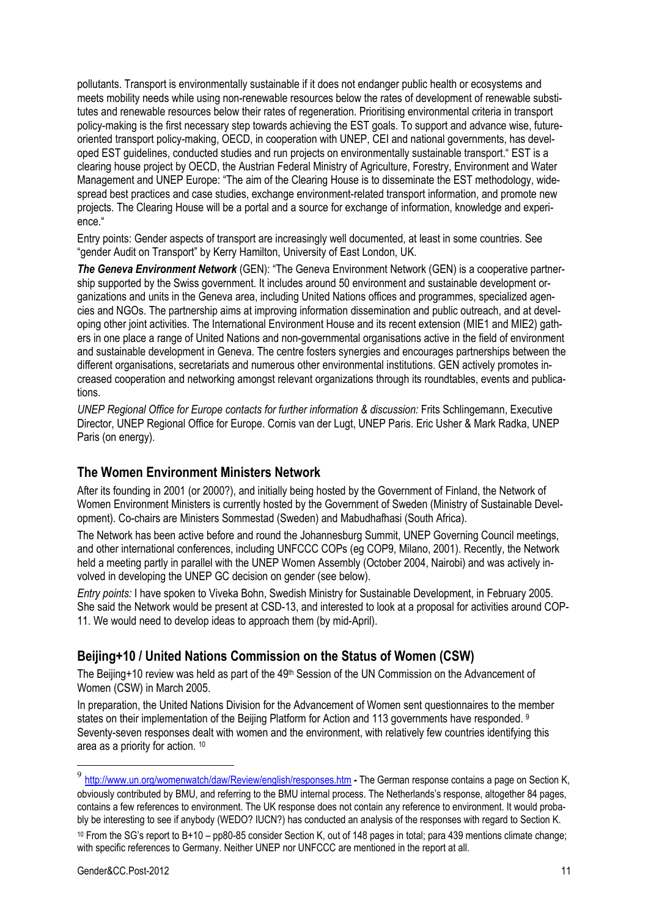pollutants. Transport is environmentally sustainable if it does not endanger public health or ecosystems and meets mobility needs while using non-renewable resources below the rates of development of renewable substitutes and renewable resources below their rates of regeneration. Prioritising environmental criteria in transport policy-making is the first necessary step towards achieving the EST goals. To support and advance wise, futureoriented transport policy-making, OECD, in cooperation with UNEP, CEI and national governments, has developed EST guidelines, conducted studies and run projects on environmentally sustainable transport." EST is a clearing house project by OECD, the Austrian Federal Ministry of Agriculture, Forestry, Environment and Water Management and UNEP Europe: "The aim of the Clearing House is to disseminate the EST methodology, widespread best practices and case studies, exchange environment-related transport information, and promote new projects. The Clearing House will be a portal and a source for exchange of information, knowledge and experience."

Entry points: Gender aspects of transport are increasingly well documented, at least in some countries. See "gender Audit on Transport" by Kerry Hamilton, University of East London, UK.

*The Geneva Environment Network* (GEN): "The Geneva Environment Network (GEN) is a cooperative partnership supported by the Swiss government. It includes around 50 environment and sustainable development organizations and units in the Geneva area, including United Nations offices and programmes, specialized agencies and NGOs. The partnership aims at improving information dissemination and public outreach, and at developing other joint activities. The International Environment House and its recent extension (MIE1 and MIE2) gathers in one place a range of United Nations and non-governmental organisations active in the field of environment and sustainable development in Geneva. The centre fosters synergies and encourages partnerships between the different organisations, secretariats and numerous other environmental institutions. GEN actively promotes increased cooperation and networking amongst relevant organizations through its roundtables, events and publications.

*UNEP Regional Office for Europe contacts for further information & discussion:* Frits Schlingemann, Executive Director, UNEP Regional Office for Europe. Cornis van der Lugt, UNEP Paris. Eric Usher & Mark Radka, UNEP Paris (on energy).

### **The Women Environment Ministers Network**

After its founding in 2001 (or 2000?), and initially being hosted by the Government of Finland, the Network of Women Environment Ministers is currently hosted by the Government of Sweden (Ministry of Sustainable Development). Co-chairs are Ministers Sommestad (Sweden) and Mabudhafhasi (South Africa).

The Network has been active before and round the Johannesburg Summit, UNEP Governing Council meetings, and other international conferences, including UNFCCC COPs (eg COP9, Milano, 2001). Recently, the Network held a meeting partly in parallel with the UNEP Women Assembly (October 2004, Nairobi) and was actively involved in developing the UNEP GC decision on gender (see below).

*Entry points:* I have spoken to Viveka Bohn, Swedish Ministry for Sustainable Development, in February 2005. She said the Network would be present at CSD-13, and interested to look at a proposal for activities around COP-11. We would need to develop ideas to approach them (by mid-April).

# **Beijing+10 / United Nations Commission on the Status of Women (CSW)**

The Beijing+10 review was held as part of the 49<sup>th</sup> Session of the UN Commission on the Advancement of Women (CSW) in March 2005.

In preparation, the United Nations Division for the Advancement of Women sent questionnaires to the member states on their implementation of the Beijing Platform for Action and 113 governments have responded. <sup>9</sup> Seventy-seven responses dealt with women and the environment, with relatively few countries identifying this area as a priority for action. 10

<sup>9</sup> http://www.un.org/womenwatch/daw/Review/english/responses.htm **-** The German response contains a page on Section K, obviously contributed by BMU, and referring to the BMU internal process. The Netherlands's response, altogether 84 pages, contains a few references to environment. The UK response does not contain any reference to environment. It would probably be interesting to see if anybody (WEDO? IUCN?) has conducted an analysis of the responses with regard to Section K. 10 From the SG's report to B+10 – pp80-85 consider Section K, out of 148 pages in total; para 439 mentions climate change; with specific references to Germany. Neither UNEP nor UNFCCC are mentioned in the report at all.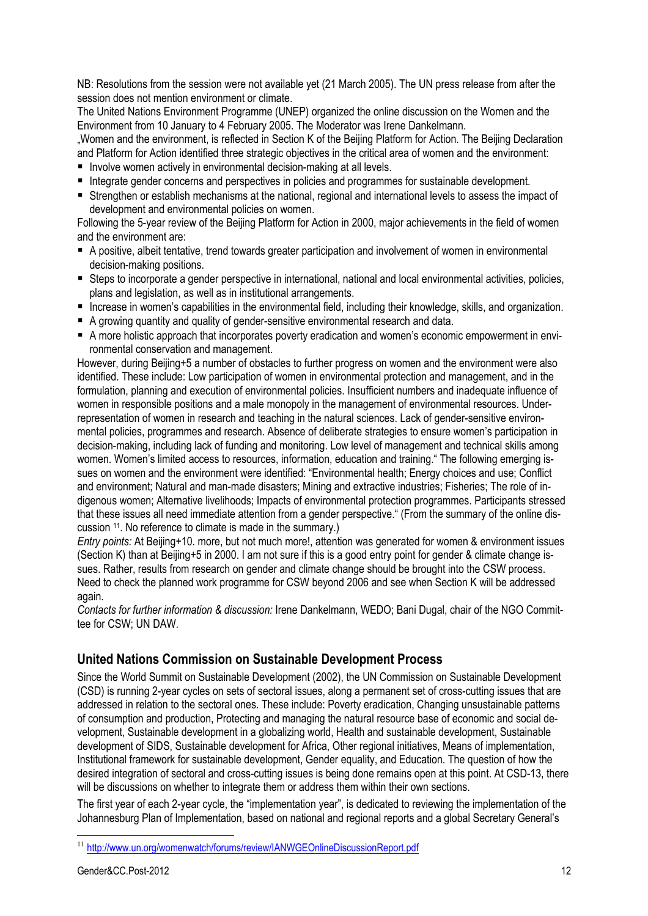NB: Resolutions from the session were not available yet (21 March 2005). The UN press release from after the session does not mention environment or climate.

The United Nations Environment Programme (UNEP) organized the online discussion on the Women and the Environment from 10 January to 4 February 2005. The Moderator was Irene Dankelmann.

"Women and the environment, is reflected in Section K of the Beijing Platform for Action. The Beijing Declaration and Platform for Action identified three strategic objectives in the critical area of women and the environment:

- Involve women actively in environmental decision-making at all levels.
- Integrate gender concerns and perspectives in policies and programmes for sustainable development.
- Strengthen or establish mechanisms at the national, regional and international levels to assess the impact of development and environmental policies on women.

Following the 5-year review of the Beijing Platform for Action in 2000, major achievements in the field of women and the environment are:

- A positive, albeit tentative, trend towards greater participation and involvement of women in environmental decision-making positions.
- Steps to incorporate a gender perspective in international, national and local environmental activities, policies, plans and legislation, as well as in institutional arrangements.
- Increase in women's capabilities in the environmental field, including their knowledge, skills, and organization.
- A growing quantity and quality of gender-sensitive environmental research and data.
- A more holistic approach that incorporates poverty eradication and women's economic empowerment in environmental conservation and management.

However, during Beijing+5 a number of obstacles to further progress on women and the environment were also identified. These include: Low participation of women in environmental protection and management, and in the formulation, planning and execution of environmental policies. Insufficient numbers and inadequate influence of women in responsible positions and a male monopoly in the management of environmental resources. Underrepresentation of women in research and teaching in the natural sciences. Lack of gender-sensitive environmental policies, programmes and research. Absence of deliberate strategies to ensure women's participation in decision-making, including lack of funding and monitoring. Low level of management and technical skills among women. Women's limited access to resources, information, education and training." The following emerging issues on women and the environment were identified: "Environmental health; Energy choices and use; Conflict and environment; Natural and man-made disasters; Mining and extractive industries; Fisheries; The role of indigenous women; Alternative livelihoods; Impacts of environmental protection programmes. Participants stressed that these issues all need immediate attention from a gender perspective." (From the summary of the online discussion 11. No reference to climate is made in the summary.)

*Entry points:* At Beijing+10. more, but not much more!, attention was generated for women & environment issues (Section K) than at Beijing+5 in 2000. I am not sure if this is a good entry point for gender & climate change issues. Rather, results from research on gender and climate change should be brought into the CSW process. Need to check the planned work programme for CSW beyond 2006 and see when Section K will be addressed again.

*Contacts for further information & discussion:* Irene Dankelmann, WEDO; Bani Dugal, chair of the NGO Committee for CSW; UN DAW.

# **United Nations Commission on Sustainable Development Process**

Since the World Summit on Sustainable Development (2002), the UN Commission on Sustainable Development (CSD) is running 2-year cycles on sets of sectoral issues, along a permanent set of cross-cutting issues that are addressed in relation to the sectoral ones. These include: Poverty eradication, Changing unsustainable patterns of consumption and production, Protecting and managing the natural resource base of economic and social development, Sustainable development in a globalizing world, Health and sustainable development, Sustainable development of SIDS, Sustainable development for Africa, Other regional initiatives, Means of implementation, Institutional framework for sustainable development, Gender equality, and Education. The question of how the desired integration of sectoral and cross-cutting issues is being done remains open at this point. At CSD-13, there will be discussions on whether to integrate them or address them within their own sections.

The first year of each 2-year cycle, the "implementation year", is dedicated to reviewing the implementation of the Johannesburg Plan of Implementation, based on national and regional reports and a global Secretary General's

 $\overline{a}$ <sup>11</sup> http://www.un.org/womenwatch/forums/review/IANWGEOnlineDiscussionReport.pdf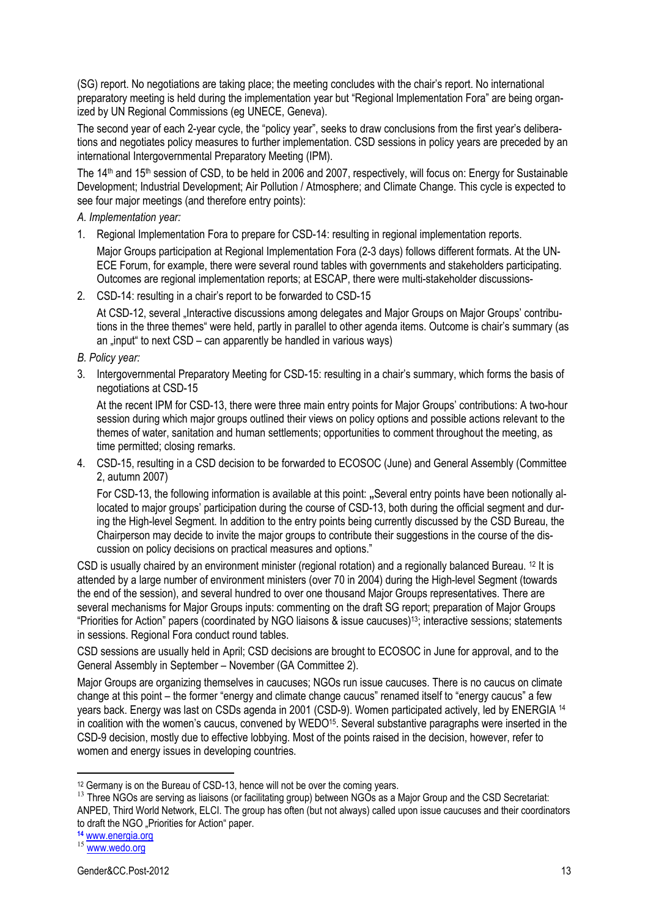(SG) report. No negotiations are taking place; the meeting concludes with the chair's report. No international preparatory meeting is held during the implementation year but "Regional Implementation Fora" are being organized by UN Regional Commissions (eg UNECE, Geneva).

The second year of each 2-year cycle, the "policy year", seeks to draw conclusions from the first year's deliberations and negotiates policy measures to further implementation. CSD sessions in policy years are preceded by an international Intergovernmental Preparatory Meeting (IPM).

The 14<sup>th</sup> and 15<sup>th</sup> session of CSD, to be held in 2006 and 2007, respectively, will focus on: Energy for Sustainable Development; Industrial Development; Air Pollution / Atmosphere; and Climate Change. This cycle is expected to see four major meetings (and therefore entry points):

*A. Implementation year:* 

- 1. Regional Implementation Fora to prepare for CSD-14: resulting in regional implementation reports. Major Groups participation at Regional Implementation Fora (2-3 days) follows different formats. At the UN-ECE Forum, for example, there were several round tables with governments and stakeholders participating. Outcomes are regional implementation reports; at ESCAP, there were multi-stakeholder discussions-
- 2. CSD-14: resulting in a chair's report to be forwarded to CSD-15

At CSD-12, several "Interactive discussions among delegates and Major Groups on Major Groups' contributions in the three themes" were held, partly in parallel to other agenda items. Outcome is chair's summary (as an  $\mu$  input to next CSD – can apparently be handled in various ways)

*B. Policy year:* 

3. Intergovernmental Preparatory Meeting for CSD-15: resulting in a chair's summary, which forms the basis of negotiations at CSD-15

At the recent IPM for CSD-13, there were three main entry points for Major Groups' contributions: A two-hour session during which major groups outlined their views on policy options and possible actions relevant to the themes of water, sanitation and human settlements; opportunities to comment throughout the meeting, as time permitted; closing remarks.

4. CSD-15, resulting in a CSD decision to be forwarded to ECOSOC (June) and General Assembly (Committee 2, autumn 2007)

For CSD-13, the following information is available at this point: "Several entry points have been notionally allocated to major groups' participation during the course of CSD-13, both during the official segment and during the High-level Segment. In addition to the entry points being currently discussed by the CSD Bureau, the Chairperson may decide to invite the major groups to contribute their suggestions in the course of the discussion on policy decisions on practical measures and options."

CSD is usually chaired by an environment minister (regional rotation) and a regionally balanced Bureau. 12 It is attended by a large number of environment ministers (over 70 in 2004) during the High-level Segment (towards the end of the session), and several hundred to over one thousand Major Groups representatives. There are several mechanisms for Major Groups inputs: commenting on the draft SG report; preparation of Major Groups "Priorities for Action" papers (coordinated by NGO liaisons & issue caucuses)13; interactive sessions; statements in sessions. Regional Fora conduct round tables.

CSD sessions are usually held in April; CSD decisions are brought to ECOSOC in June for approval, and to the General Assembly in September – November (GA Committee 2).

Major Groups are organizing themselves in caucuses; NGOs run issue caucuses. There is no caucus on climate change at this point – the former "energy and climate change caucus" renamed itself to "energy caucus" a few years back. Energy was last on CSDs agenda in 2001 (CSD-9). Women participated actively, led by ENERGIA <sup>14</sup> in coalition with the women's caucus, convened by WEDO15. Several substantive paragraphs were inserted in the CSD-9 decision, mostly due to effective lobbying. Most of the points raised in the decision, however, refer to women and energy issues in developing countries.

<sup>&</sup>lt;sup>12</sup> Germany is on the Bureau of CSD-13, hence will not be over the coming years.

<sup>&</sup>lt;sup>13</sup> Three NGOs are serving as liaisons (or facilitating group) between NGOs as a Major Group and the CSD Secretariat: ANPED, Third World Network, ELCI. The group has often (but not always) called upon issue caucuses and their coordinators to draft the NGO "Priorities for Action" paper.<br><sup>14</sup> www.energia.org

<sup>15</sup> www.wedo.org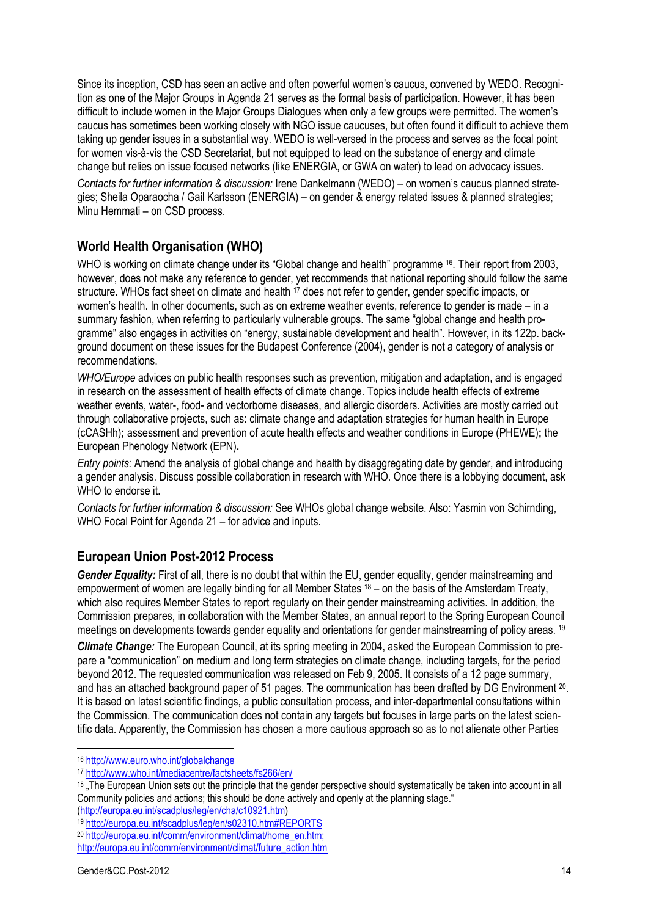Since its inception, CSD has seen an active and often powerful women's caucus, convened by WEDO. Recognition as one of the Major Groups in Agenda 21 serves as the formal basis of participation. However, it has been difficult to include women in the Major Groups Dialogues when only a few groups were permitted. The women's caucus has sometimes been working closely with NGO issue caucuses, but often found it difficult to achieve them taking up gender issues in a substantial way. WEDO is well-versed in the process and serves as the focal point for women vis-à-vis the CSD Secretariat, but not equipped to lead on the substance of energy and climate change but relies on issue focused networks (like ENERGIA, or GWA on water) to lead on advocacy issues.

*Contacts for further information & discussion:* Irene Dankelmann (WEDO) – on women's caucus planned strategies; Sheila Oparaocha / Gail Karlsson (ENERGIA) – on gender & energy related issues & planned strategies; Minu Hemmati – on CSD process.

# **World Health Organisation (WHO)**

WHO is working on climate change under its "Global change and health" programme <sup>16</sup>. Their report from 2003, however, does not make any reference to gender, yet recommends that national reporting should follow the same structure. WHOs fact sheet on climate and health <sup>17</sup> does not refer to gender, gender specific impacts, or women's health. In other documents, such as on extreme weather events, reference to gender is made – in a summary fashion, when referring to particularly vulnerable groups. The same "global change and health programme" also engages in activities on "energy, sustainable development and health". However, in its 122p. background document on these issues for the Budapest Conference (2004), gender is not a category of analysis or recommendations.

*WHO/Europe* advices on public health responses such as prevention, mitigation and adaptation, and is engaged in research on the assessment of health effects of climate change. Topics include health effects of extreme weather events, water-, food- and vectorborne diseases, and allergic disorders. Activities are mostly carried out through collaborative projects, such as: climate change and adaptation strategies for human health in Europe (cCASHh)**;** assessment and prevention of acute health effects and weather conditions in Europe (PHEWE)**;** the European Phenology Network (EPN)**.** 

*Entry points:* Amend the analysis of global change and health by disaggregating date by gender, and introducing a gender analysis. Discuss possible collaboration in research with WHO. Once there is a lobbying document, ask WHO to endorse it.

*Contacts for further information & discussion:* See WHOs global change website. Also: Yasmin von Schirnding, WHO Focal Point for Agenda 21 – for advice and inputs.

# **European Union Post-2012 Process**

*Gender Equality:* First of all, there is no doubt that within the EU, gender equality, gender mainstreaming and empowerment of women are legally binding for all Member States  $^{18}$  – on the basis of the Amsterdam Treaty, which also requires Member States to report regularly on their gender mainstreaming activities. In addition, the Commission prepares, in collaboration with the Member States, an annual report to the Spring European Council meetings on developments towards gender equality and orientations for gender mainstreaming of policy areas. <sup>19</sup>

*Climate Change:* The European Council, at its spring meeting in 2004, asked the European Commission to prepare a "communication" on medium and long term strategies on climate change, including targets, for the period beyond 2012. The requested communication was released on Feb 9, 2005. It consists of a 12 page summary, and has an attached background paper of 51 pages. The communication has been drafted by DG Environment 20. It is based on latest scientific findings, a public consultation process, and inter-departmental consultations within the Commission. The communication does not contain any targets but focuses in large parts on the latest scientific data. Apparently, the Commission has chosen a more cautious approach so as to not alienate other Parties

<sup>16</sup> http://www.euro.who.int/globalchange

<sup>17</sup> http://www.who.int/mediacentre/factsheets/fs266/en/

<sup>&</sup>lt;sup>18</sup> The European Union sets out the principle that the gender perspective should systematically be taken into account in all Community policies and actions; this should be done actively and openly at the planning stage."

<sup>(</sup>http://europa.eu.int/scadplus/leg/en/cha/c10921.htm)

<sup>19</sup> http://europa.eu.int/scadplus/leg/en/s02310.htm#REPORTS

<sup>20</sup> http://europa.eu.int/comm/environment/climat/home\_en.htm;

http://europa.eu.int/comm/environment/climat/future\_action.htm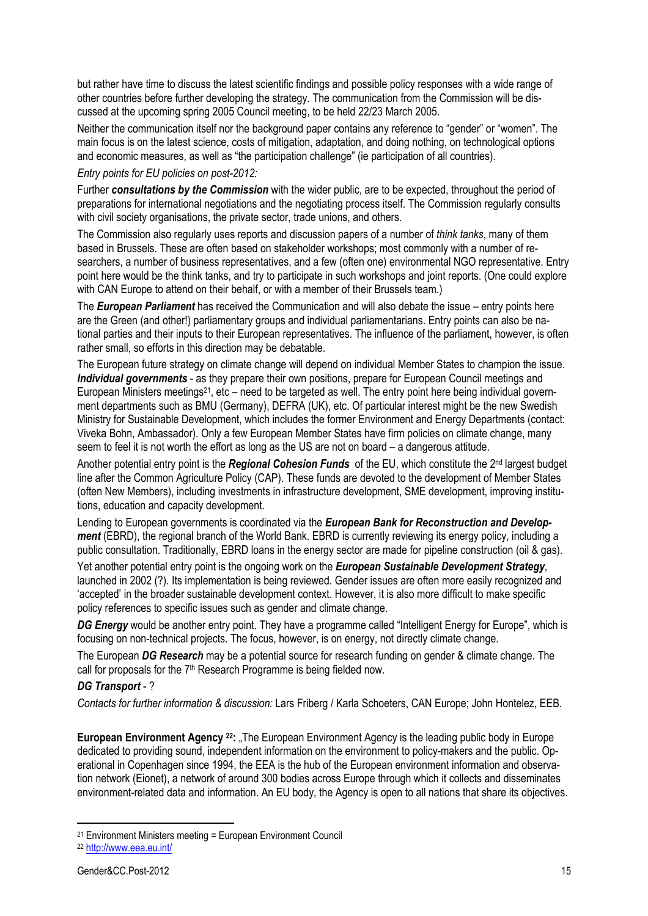but rather have time to discuss the latest scientific findings and possible policy responses with a wide range of other countries before further developing the strategy. The communication from the Commission will be discussed at the upcoming spring 2005 Council meeting, to be held 22/23 March 2005.

Neither the communication itself nor the background paper contains any reference to "gender" or "women". The main focus is on the latest science, costs of mitigation, adaptation, and doing nothing, on technological options and economic measures, as well as "the participation challenge" (ie participation of all countries).

#### *Entry points for EU policies on post-2012:*

Further *consultations by the Commission* with the wider public, are to be expected, throughout the period of preparations for international negotiations and the negotiating process itself. The Commission regularly consults with civil society organisations, the private sector, trade unions, and others.

The Commission also regularly uses reports and discussion papers of a number of *think tanks*, many of them based in Brussels. These are often based on stakeholder workshops; most commonly with a number of researchers, a number of business representatives, and a few (often one) environmental NGO representative. Entry point here would be the think tanks, and try to participate in such workshops and joint reports. (One could explore with CAN Europe to attend on their behalf, or with a member of their Brussels team.)

The *European Parliament* has received the Communication and will also debate the issue – entry points here are the Green (and other!) parliamentary groups and individual parliamentarians. Entry points can also be national parties and their inputs to their European representatives. The influence of the parliament, however, is often rather small, so efforts in this direction may be debatable.

The European future strategy on climate change will depend on individual Member States to champion the issue. *Individual governments* - as they prepare their own positions, prepare for European Council meetings and European Ministers meetings<sup>21</sup>, etc – need to be targeted as well. The entry point here being individual government departments such as BMU (Germany), DEFRA (UK), etc. Of particular interest might be the new Swedish Ministry for Sustainable Development, which includes the former Environment and Energy Departments (contact: Viveka Bohn, Ambassador). Only a few European Member States have firm policies on climate change, many seem to feel it is not worth the effort as long as the US are not on board – a dangerous attitude.

Another potential entry point is the *Regional Cohesion Funds* of the EU, which constitute the 2nd largest budget line after the Common Agriculture Policy (CAP). These funds are devoted to the development of Member States (often New Members), including investments in infrastructure development, SME development, improving institutions, education and capacity development.

Lending to European governments is coordinated via the *European Bank for Reconstruction and Development* (EBRD), the regional branch of the World Bank. EBRD is currently reviewing its energy policy, including a public consultation. Traditionally, EBRD loans in the energy sector are made for pipeline construction (oil & gas).

Yet another potential entry point is the ongoing work on the *European Sustainable Development Strategy*, launched in 2002 (?). Its implementation is being reviewed. Gender issues are often more easily recognized and 'accepted' in the broader sustainable development context. However, it is also more difficult to make specific policy references to specific issues such as gender and climate change.

*DG Energy* would be another entry point. They have a programme called "Intelligent Energy for Europe", which is focusing on non-technical projects. The focus, however, is on energy, not directly climate change.

The European *DG Research* may be a potential source for research funding on gender & climate change. The call for proposals for the 7<sup>th</sup> Research Programme is being fielded now.

#### *DG Transport* - ?

*Contacts for further information & discussion:* Lars Friberg / Karla Schoeters, CAN Europe; John Hontelez, EEB.

**European Environment Agency 22:** "The European Environment Agency is the leading public body in Europe dedicated to providing sound, independent information on the environment to policy-makers and the public. Operational in Copenhagen since 1994, the EEA is the hub of the European environment information and observation network (Eionet), a network of around 300 bodies across Europe through which it collects and disseminates environment-related data and information. An EU body, the Agency is open to all nations that share its objectives.

<sup>21</sup> Environment Ministers meeting = European Environment Council

<sup>22</sup> http://www.eea.eu.int/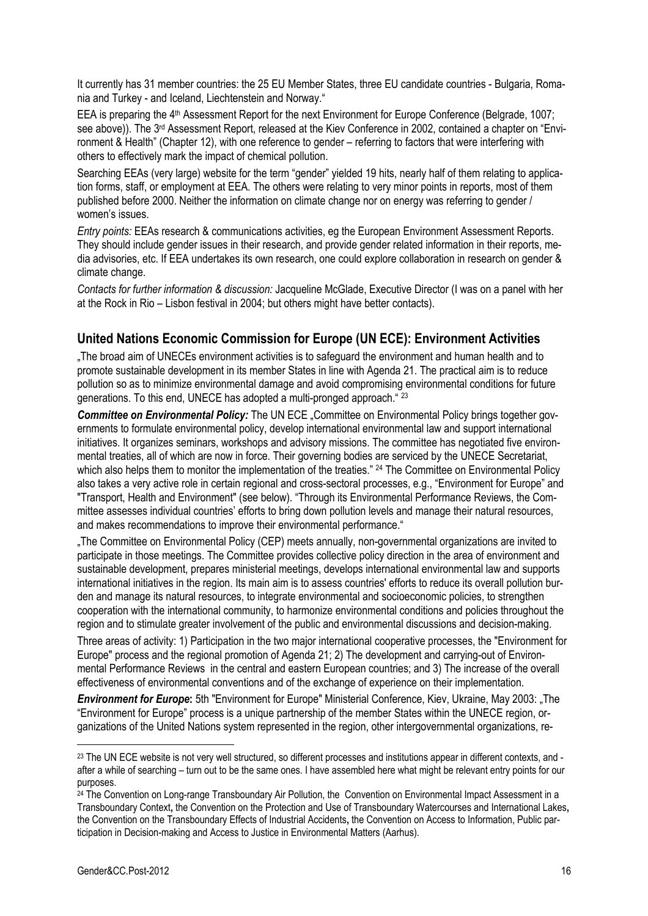It currently has 31 member countries: the 25 EU Member States, three EU candidate countries - Bulgaria, Romania and Turkey - and Iceland, Liechtenstein and Norway."

EEA is preparing the 4<sup>th</sup> Assessment Report for the next Environment for Europe Conference (Belgrade, 1007; see above)). The 3<sup>rd</sup> Assessment Report, released at the Kiev Conference in 2002, contained a chapter on "Environment & Health" (Chapter 12), with one reference to gender – referring to factors that were interfering with others to effectively mark the impact of chemical pollution.

Searching EEAs (very large) website for the term "gender" yielded 19 hits, nearly half of them relating to application forms, staff, or employment at EEA. The others were relating to very minor points in reports, most of them published before 2000. Neither the information on climate change nor on energy was referring to gender / women's issues.

*Entry points:* EEAs research & communications activities, eg the European Environment Assessment Reports. They should include gender issues in their research, and provide gender related information in their reports, media advisories, etc. If EEA undertakes its own research, one could explore collaboration in research on gender & climate change.

*Contacts for further information & discussion:* Jacqueline McGlade, Executive Director (I was on a panel with her at the Rock in Rio – Lisbon festival in 2004; but others might have better contacts).

# **United Nations Economic Commission for Europe (UN ECE): Environment Activities**

"The broad aim of UNECEs environment activities is to safeguard the environment and human health and to promote sustainable development in its member States in line with Agenda 21. The practical aim is to reduce pollution so as to minimize environmental damage and avoid compromising environmental conditions for future generations. To this end, UNECE has adopted a multi-pronged approach." 23

**Committee on Environmental Policy:** The UN ECE "Committee on Environmental Policy brings together governments to formulate environmental policy, develop international environmental law and support international initiatives. It organizes seminars, workshops and advisory missions. The committee has negotiated five environmental treaties, all of which are now in force. Their governing bodies are serviced by the UNECE Secretariat, which also helps them to monitor the implementation of the treaties." <sup>24</sup> The Committee on Environmental Policy also takes a very active role in certain regional and cross-sectoral processes, e.g., "Environment for Europe" and "Transport, Health and Environment" (see below). "Through its Environmental Performance Reviews, the Committee assesses individual countries' efforts to bring down pollution levels and manage their natural resources, and makes recommendations to improve their environmental performance."

"The Committee on Environmental Policy (CEP) meets annually, non-governmental organizations are invited to participate in those meetings. The Committee provides collective policy direction in the area of environment and sustainable development, prepares ministerial meetings, develops international environmental law and supports international initiatives in the region. Its main aim is to assess countries' efforts to reduce its overall pollution burden and manage its natural resources, to integrate environmental and socioeconomic policies, to strengthen cooperation with the international community, to harmonize environmental conditions and policies throughout the region and to stimulate greater involvement of the public and environmental discussions and decision-making.

Three areas of activity: 1) Participation in the two major international cooperative processes, the "Environment for Europe" process and the regional promotion of Agenda 21; 2) The development and carrying-out of Environmental Performance Reviews in the central and eastern European countries; and 3) The increase of the overall effectiveness of environmental conventions and of the exchange of experience on their implementation.

*Environment for Europe***:** 5th "Environment for Europe" Ministerial Conference, Kiev, Ukraine, May 2003: "The "Environment for Europe" process is a unique partnership of the member States within the UNECE region, organizations of the United Nations system represented in the region, other intergovernmental organizations, re-

<sup>23</sup> The UN ECE website is not very well structured, so different processes and institutions appear in different contexts, and after a while of searching – turn out to be the same ones. I have assembled here what might be relevant entry points for our purposes.

<sup>24</sup> The Convention on Long-range Transboundary Air Pollution, the Convention on Environmental Impact Assessment in a Transboundary Context**,** the Convention on the Protection and Use of Transboundary Watercourses and International Lakes**,**  the Convention on the Transboundary Effects of Industrial Accidents**,** the Convention on Access to Information, Public participation in Decision-making and Access to Justice in Environmental Matters (Aarhus).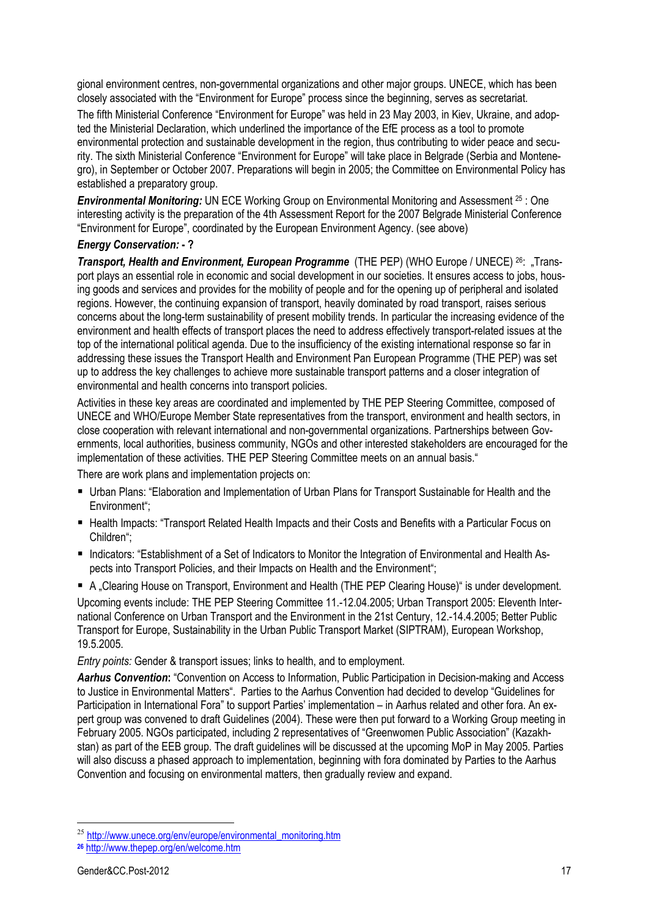gional environment centres, non-governmental organizations and other major groups. UNECE, which has been closely associated with the "Environment for Europe" process since the beginning, serves as secretariat.

The fifth Ministerial Conference "Environment for Europe" was held in 23 May 2003, in Kiev, Ukraine, and adopted the Ministerial Declaration, which underlined the importance of the EfE process as a tool to promote environmental protection and sustainable development in the region, thus contributing to wider peace and security. The sixth Ministerial Conference "Environment for Europe" will take place in Belgrade (Serbia and Montenegro), in September or October 2007. Preparations will begin in 2005; the Committee on Environmental Policy has established a preparatory group.

*Environmental Monitoring:* UN ECE Working Group on Environmental Monitoring and Assessment 25 : One interesting activity is the preparation of the 4th Assessment Report for the 2007 Belgrade Ministerial Conference "Environment for Europe", coordinated by the European Environment Agency. (see above)

#### *Energy Conservation:* **- ?**

*Transport, Health and Environment, European Programme* (THE PEP) (WHO Europe / UNECE) <sup>26</sup>: "Transport plays an essential role in economic and social development in our societies. It ensures access to jobs, housing goods and services and provides for the mobility of people and for the opening up of peripheral and isolated regions. However, the continuing expansion of transport, heavily dominated by road transport, raises serious concerns about the long-term sustainability of present mobility trends. In particular the increasing evidence of the environment and health effects of transport places the need to address effectively transport-related issues at the top of the international political agenda. Due to the insufficiency of the existing international response so far in addressing these issues the Transport Health and Environment Pan European Programme (THE PEP) was set up to address the key challenges to achieve more sustainable transport patterns and a closer integration of environmental and health concerns into transport policies.

Activities in these key areas are coordinated and implemented by THE PEP Steering Committee, composed of UNECE and WHO/Europe Member State representatives from the transport, environment and health sectors, in close cooperation with relevant international and non-governmental organizations. Partnerships between Governments, local authorities, business community, NGOs and other interested stakeholders are encouraged for the implementation of these activities. THE PEP Steering Committee meets on an annual basis."

There are work plans and implementation projects on:

- Urban Plans: "Elaboration and Implementation of Urban Plans for Transport Sustainable for Health and the Environment";
- Health Impacts: "Transport Related Health Impacts and their Costs and Benefits with a Particular Focus on Children";
- Indicators: "Establishment of a Set of Indicators to Monitor the Integration of Environmental and Health Aspects into Transport Policies, and their Impacts on Health and the Environment";
- A "Clearing House on Transport, Environment and Health (THE PEP Clearing House)" is under development.

Upcoming events include: THE PEP Steering Committee 11.-12.04.2005; Urban Transport 2005: Eleventh International Conference on Urban Transport and the Environment in the 21st Century, 12.-14.4.2005; Better Public Transport for Europe, Sustainability in the Urban Public Transport Market (SIPTRAM), European Workshop, 19.5.2005.

*Entry points:* Gender & transport issues; links to health, and to employment.

*Aarhus Convention***:** "Convention on Access to Information, Public Participation in Decision-making and Access to Justice in Environmental Matters". Parties to the Aarhus Convention had decided to develop "Guidelines for Participation in International Fora" to support Parties' implementation – in Aarhus related and other fora. An expert group was convened to draft Guidelines (2004). These were then put forward to a Working Group meeting in February 2005. NGOs participated, including 2 representatives of "Greenwomen Public Association" (Kazakhstan) as part of the EEB group. The draft guidelines will be discussed at the upcoming MoP in May 2005. Parties will also discuss a phased approach to implementation, beginning with fora dominated by Parties to the Aarhus Convention and focusing on environmental matters, then gradually review and expand.

<sup>&</sup>lt;sup>25</sup> http://www.unece.org/env/europe/environmental\_monitoring.htm

**<sup>26</sup>** http://www.thepep.org/en/welcome.htm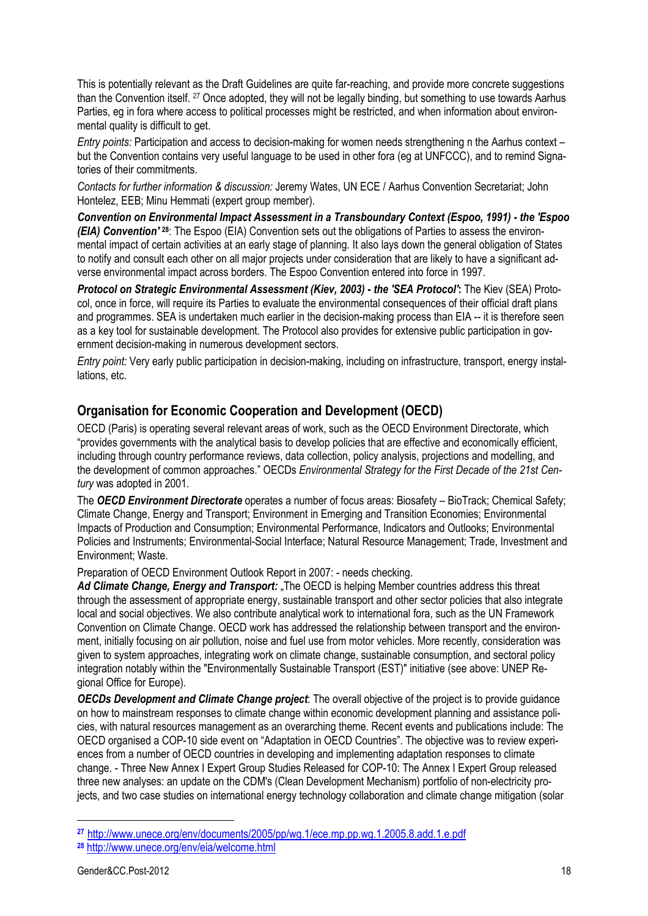This is potentially relevant as the Draft Guidelines are quite far-reaching, and provide more concrete suggestions than the Convention itself. 27 Once adopted, they will not be legally binding, but something to use towards Aarhus Parties, eg in fora where access to political processes might be restricted, and when information about environmental quality is difficult to get.

*Entry points:* Participation and access to decision-making for women needs strengthening n the Aarhus context – but the Convention contains very useful language to be used in other fora (eg at UNFCCC), and to remind Signatories of their commitments.

*Contacts for further information & discussion:* Jeremy Wates, UN ECE / Aarhus Convention Secretariat; John Hontelez, EEB; Minu Hemmati (expert group member).

*Convention on Environmental Impact Assessment in a Transboundary Context (Espoo, 1991) - the 'Espoo (EIA) Convention'* **28**: The Espoo (EIA) Convention sets out the obligations of Parties to assess the environmental impact of certain activities at an early stage of planning. It also lays down the general obligation of States to notify and consult each other on all major projects under consideration that are likely to have a significant adverse environmental impact across borders. The Espoo Convention entered into force in 1997.

*Protocol on Strategic Environmental Assessment (Kiev, 2003) - the 'SEA Protocol'***:** The Kiev (SEA) Protocol, once in force, will require its Parties to evaluate the environmental consequences of their official draft plans and programmes. SEA is undertaken much earlier in the decision-making process than EIA -- it is therefore seen as a key tool for sustainable development. The Protocol also provides for extensive public participation in government decision-making in numerous development sectors.

*Entry point:* Very early public participation in decision-making, including on infrastructure, transport, energy installations, etc.

### **Organisation for Economic Cooperation and Development (OECD)**

OECD (Paris) is operating several relevant areas of work, such as the OECD Environment Directorate, which "provides governments with the analytical basis to develop policies that are effective and economically efficient, including through country performance reviews, data collection, policy analysis, projections and modelling, and the development of common approaches." OECDs *Environmental Strategy for the First Decade of the 21st Century* was adopted in 2001.

The *OECD Environment Directorate* operates a number of focus areas: Biosafety – BioTrack; Chemical Safety; Climate Change, Energy and Transport; Environment in Emerging and Transition Economies; Environmental Impacts of Production and Consumption; Environmental Performance, Indicators and Outlooks; Environmental Policies and Instruments; Environmental-Social Interface; Natural Resource Management; Trade, Investment and Environment; Waste.

Preparation of OECD Environment Outlook Report in 2007: - needs checking.

*Ad Climate Change, Energy and Transport:* "The OECD is helping Member countries address this threat through the assessment of appropriate energy, sustainable transport and other sector policies that also integrate local and social objectives. We also contribute analytical work to international fora, such as the UN Framework Convention on Climate Change. OECD work has addressed the relationship between transport and the environment, initially focusing on air pollution, noise and fuel use from motor vehicles. More recently, consideration was given to system approaches, integrating work on climate change, sustainable consumption, and sectoral policy integration notably within the "Environmentally Sustainable Transport (EST)" initiative (see above: UNEP Regional Office for Europe).

*OECDs Development and Climate Change project*: The overall objective of the project is to provide guidance on how to mainstream responses to climate change within economic development planning and assistance policies, with natural resources management as an overarching theme. Recent events and publications include: The OECD organised a COP-10 side event on "Adaptation in OECD Countries". The objective was to review experiences from a number of OECD countries in developing and implementing adaptation responses to climate change. - Three New Annex I Expert Group Studies Released for COP-10: The Annex I Expert Group released three new analyses: an update on the CDM's (Clean Development Mechanism) portfolio of non-electricity projects, and two case studies on international energy technology collaboration and climate change mitigation (solar

**<sup>27</sup>** http://www.unece.org/env/documents/2005/pp/wg.1/ece.mp.pp.wg.1.2005.8.add.1.e.pdf

**<sup>28</sup>** http://www.unece.org/env/eia/welcome.html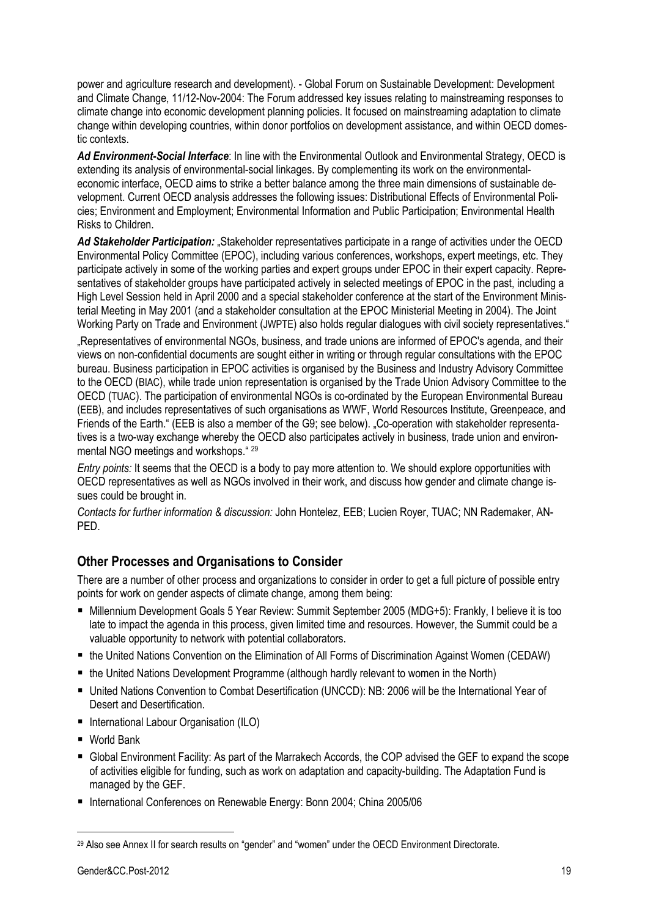power and agriculture research and development). - Global Forum on Sustainable Development: Development and Climate Change, 11/12-Nov-2004: The Forum addressed key issues relating to mainstreaming responses to climate change into economic development planning policies. It focused on mainstreaming adaptation to climate change within developing countries, within donor portfolios on development assistance, and within OECD domestic contexts.

*Ad Environment-Social Interface*: In line with the Environmental Outlook and Environmental Strategy, OECD is extending its analysis of environmental-social linkages. By complementing its work on the environmentaleconomic interface, OECD aims to strike a better balance among the three main dimensions of sustainable development. Current OECD analysis addresses the following issues: Distributional Effects of Environmental Policies; Environment and Employment; Environmental Information and Public Participation; Environmental Health Risks to Children.

Ad Stakeholder Participation: .Stakeholder representatives participate in a range of activities under the OECD Environmental Policy Committee (EPOC), including various conferences, workshops, expert meetings, etc. They participate actively in some of the working parties and expert groups under EPOC in their expert capacity. Representatives of stakeholder groups have participated actively in selected meetings of EPOC in the past, including a High Level Session held in April 2000 and a special stakeholder conference at the start of the Environment Ministerial Meeting in May 2001 (and a stakeholder consultation at the EPOC Ministerial Meeting in 2004). The Joint Working Party on Trade and Environment (JWPTE) also holds regular dialogues with civil society representatives."

Representatives of environmental NGOs, business, and trade unions are informed of EPOC's agenda, and their. views on non-confidential documents are sought either in writing or through regular consultations with the EPOC bureau. Business participation in EPOC activities is organised by the Business and Industry Advisory Committee to the OECD (BIAC), while trade union representation is organised by the Trade Union Advisory Committee to the OECD (TUAC). The participation of environmental NGOs is co-ordinated by the European Environmental Bureau (EEB), and includes representatives of such organisations as WWF, World Resources Institute, Greenpeace, and Friends of the Earth." (EEB is also a member of the G9; see below). "Co-operation with stakeholder representatives is a two-way exchange whereby the OECD also participates actively in business, trade union and environmental NGO meetings and workshops." 29

*Entry points:* It seems that the OECD is a body to pay more attention to. We should explore opportunities with OECD representatives as well as NGOs involved in their work, and discuss how gender and climate change issues could be brought in.

*Contacts for further information & discussion:* John Hontelez, EEB; Lucien Royer, TUAC; NN Rademaker, AN-PED.

# **Other Processes and Organisations to Consider**

There are a number of other process and organizations to consider in order to get a full picture of possible entry points for work on gender aspects of climate change, among them being:

- Millennium Development Goals 5 Year Review: Summit September 2005 (MDG+5): Frankly, I believe it is too late to impact the agenda in this process, given limited time and resources. However, the Summit could be a valuable opportunity to network with potential collaborators.
- the United Nations Convention on the Elimination of All Forms of Discrimination Against Women (CEDAW)
- the United Nations Development Programme (although hardly relevant to women in the North)
- United Nations Convention to Combat Desertification (UNCCD): NB: 2006 will be the International Year of Desert and Desertification.
- International Labour Organisation (ILO)
- World Bank

- Global Environment Facility: As part of the Marrakech Accords, the COP advised the GEF to expand the scope of activities eligible for funding, such as work on adaptation and capacity-building. The Adaptation Fund is managed by the GEF.
- International Conferences on Renewable Energy: Bonn 2004; China 2005/06

<sup>&</sup>lt;sup>29</sup> Also see Annex II for search results on "gender" and "women" under the OECD Environment Directorate.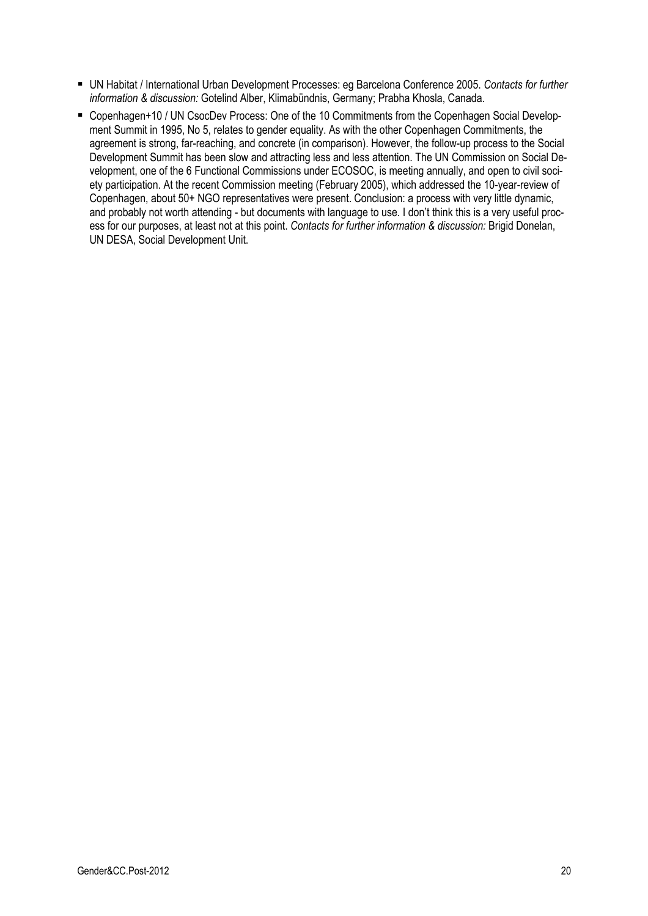- UN Habitat / International Urban Development Processes: eg Barcelona Conference 2005. *Contacts for further information & discussion:* Gotelind Alber, Klimabündnis, Germany; Prabha Khosla, Canada.
- Copenhagen+10 / UN CsocDev Process: One of the 10 Commitments from the Copenhagen Social Development Summit in 1995, No 5, relates to gender equality. As with the other Copenhagen Commitments, the agreement is strong, far-reaching, and concrete (in comparison). However, the follow-up process to the Social Development Summit has been slow and attracting less and less attention. The UN Commission on Social Development, one of the 6 Functional Commissions under ECOSOC, is meeting annually, and open to civil society participation. At the recent Commission meeting (February 2005), which addressed the 10-year-review of Copenhagen, about 50+ NGO representatives were present. Conclusion: a process with very little dynamic, and probably not worth attending - but documents with language to use. I don't think this is a very useful process for our purposes, at least not at this point. *Contacts for further information & discussion:* Brigid Donelan, UN DESA, Social Development Unit.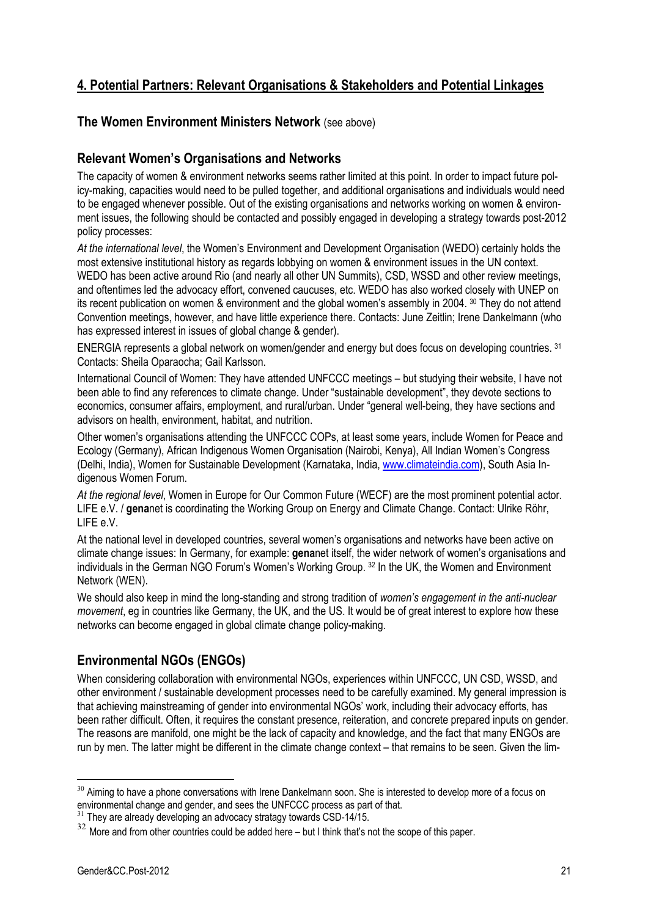# **4. Potential Partners: Relevant Organisations & Stakeholders and Potential Linkages**

# **The Women Environment Ministers Network** (see above)

### **Relevant Women's Organisations and Networks**

The capacity of women & environment networks seems rather limited at this point. In order to impact future policy-making, capacities would need to be pulled together, and additional organisations and individuals would need to be engaged whenever possible. Out of the existing organisations and networks working on women & environment issues, the following should be contacted and possibly engaged in developing a strategy towards post-2012 policy processes:

*At the international level*, the Women's Environment and Development Organisation (WEDO) certainly holds the most extensive institutional history as regards lobbying on women & environment issues in the UN context. WEDO has been active around Rio (and nearly all other UN Summits), CSD, WSSD and other review meetings, and oftentimes led the advocacy effort, convened caucuses, etc. WEDO has also worked closely with UNEP on its recent publication on women & environment and the global women's assembly in 2004. 30 They do not attend Convention meetings, however, and have little experience there. Contacts: June Zeitlin; Irene Dankelmann (who has expressed interest in issues of global change & gender).

ENERGIA represents a global network on women/gender and energy but does focus on developing countries. 31 Contacts: Sheila Oparaocha; Gail Karlsson.

International Council of Women: They have attended UNFCCC meetings – but studying their website, I have not been able to find any references to climate change. Under "sustainable development", they devote sections to economics, consumer affairs, employment, and rural/urban. Under "general well-being, they have sections and advisors on health, environment, habitat, and nutrition.

Other women's organisations attending the UNFCCC COPs, at least some years, include Women for Peace and Ecology (Germany), African Indigenous Women Organisation (Nairobi, Kenya), All Indian Women's Congress (Delhi, India), Women for Sustainable Development (Karnataka, India, www.climateindia.com), South Asia Indigenous Women Forum.

*At the regional level*, Women in Europe for Our Common Future (WECF) are the most prominent potential actor. LIFE e.V. / **gena**net is coordinating the Working Group on Energy and Climate Change. Contact: Ulrike Röhr, LIFE e.V.

At the national level in developed countries, several women's organisations and networks have been active on climate change issues: In Germany, for example: **gena**net itself, the wider network of women's organisations and individuals in the German NGO Forum's Women's Working Group. 32 In the UK, the Women and Environment Network (WEN).

We should also keep in mind the long-standing and strong tradition of *women's engagement in the anti-nuclear movement*, eg in countries like Germany, the UK, and the US. It would be of great interest to explore how these networks can become engaged in global climate change policy-making.

# **Environmental NGOs (ENGOs)**

When considering collaboration with environmental NGOs, experiences within UNFCCC, UN CSD, WSSD, and other environment / sustainable development processes need to be carefully examined. My general impression is that achieving mainstreaming of gender into environmental NGOs' work, including their advocacy efforts, has been rather difficult. Often, it requires the constant presence, reiteration, and concrete prepared inputs on gender. The reasons are manifold, one might be the lack of capacity and knowledge, and the fact that many ENGOs are run by men. The latter might be different in the climate change context – that remains to be seen. Given the lim-

 $30$  Aiming to have a phone conversations with Irene Dankelmann soon. She is interested to develop more of a focus on environmental change and gender, and sees the UNFCCC process as part of that.

 $31$  They are already developing an advocacy stratagy towards CSD-14/15.

 $32$  More and from other countries could be added here – but I think that's not the scope of this paper.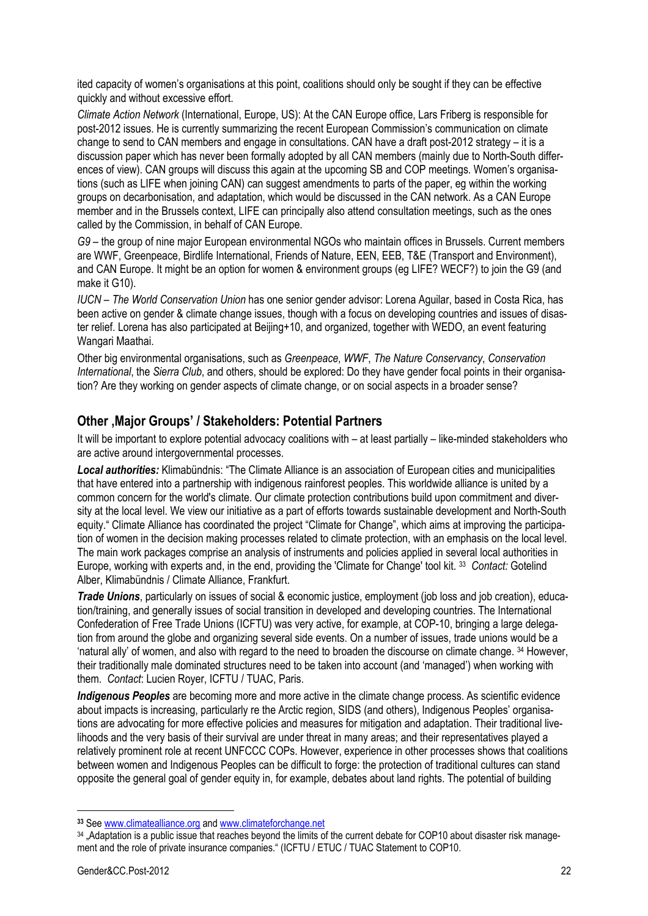ited capacity of women's organisations at this point, coalitions should only be sought if they can be effective quickly and without excessive effort.

*Climate Action Network* (International, Europe, US): At the CAN Europe office, Lars Friberg is responsible for post-2012 issues. He is currently summarizing the recent European Commission's communication on climate change to send to CAN members and engage in consultations. CAN have a draft post-2012 strategy – it is a discussion paper which has never been formally adopted by all CAN members (mainly due to North-South differences of view). CAN groups will discuss this again at the upcoming SB and COP meetings. Women's organisations (such as LIFE when joining CAN) can suggest amendments to parts of the paper, eg within the working groups on decarbonisation, and adaptation, which would be discussed in the CAN network. As a CAN Europe member and in the Brussels context, LIFE can principally also attend consultation meetings, such as the ones called by the Commission, in behalf of CAN Europe.

*G9* – the group of nine major European environmental NGOs who maintain offices in Brussels. Current members are WWF, Greenpeace, Birdlife International, Friends of Nature, EEN, EEB, T&E (Transport and Environment), and CAN Europe. It might be an option for women & environment groups (eg LIFE? WECF?) to join the G9 (and make it G10).

*IUCN – The World Conservation Union* has one senior gender advisor: Lorena Aguilar, based in Costa Rica, has been active on gender & climate change issues, though with a focus on developing countries and issues of disaster relief. Lorena has also participated at Beijing+10, and organized, together with WEDO, an event featuring Wangari Maathai.

Other big environmental organisations, such as *Greenpeace*, *WWF*, *The Nature Conservancy*, *Conservation International*, the *Sierra Club*, and others, should be explored: Do they have gender focal points in their organisation? Are they working on gender aspects of climate change, or on social aspects in a broader sense?

### **Other 'Major Groups' / Stakeholders: Potential Partners**

It will be important to explore potential advocacy coalitions with – at least partially – like-minded stakeholders who are active around intergovernmental processes.

*Local authorities:* Klimabündnis: "The Climate Alliance is an association of European cities and municipalities that have entered into a partnership with indigenous rainforest peoples. This worldwide alliance is united by a common concern for the world's climate. Our climate protection contributions build upon commitment and diversity at the local level. We view our initiative as a part of efforts towards sustainable development and North-South equity." Climate Alliance has coordinated the project "Climate for Change", which aims at improving the participation of women in the decision making processes related to climate protection, with an emphasis on the local level. The main work packages comprise an analysis of instruments and policies applied in several local authorities in Europe, working with experts and, in the end, providing the 'Climate for Change' tool kit. 33 *Contact:* Gotelind Alber, Klimabündnis / Climate Alliance, Frankfurt.

*Trade Unions*, particularly on issues of social & economic justice, employment (job loss and job creation), education/training, and generally issues of social transition in developed and developing countries. The International Confederation of Free Trade Unions (ICFTU) was very active, for example, at COP-10, bringing a large delegation from around the globe and organizing several side events. On a number of issues, trade unions would be a 'natural ally' of women, and also with regard to the need to broaden the discourse on climate change. 34 However, their traditionally male dominated structures need to be taken into account (and 'managed') when working with them. *Contact*: Lucien Royer, ICFTU / TUAC, Paris.

*Indigenous Peoples* are becoming more and more active in the climate change process. As scientific evidence about impacts is increasing, particularly re the Arctic region, SIDS (and others), Indigenous Peoples' organisations are advocating for more effective policies and measures for mitigation and adaptation. Their traditional livelihoods and the very basis of their survival are under threat in many areas; and their representatives played a relatively prominent role at recent UNFCCC COPs. However, experience in other processes shows that coalitions between women and Indigenous Peoples can be difficult to forge: the protection of traditional cultures can stand opposite the general goal of gender equity in, for example, debates about land rights. The potential of building

**<sup>33</sup>** See www.climatealliance.org and www.climateforchange.net

<sup>34 .</sup>Adaptation is a public issue that reaches beyond the limits of the current debate for COP10 about disaster risk management and the role of private insurance companies." (ICFTU / ETUC / TUAC Statement to COP10.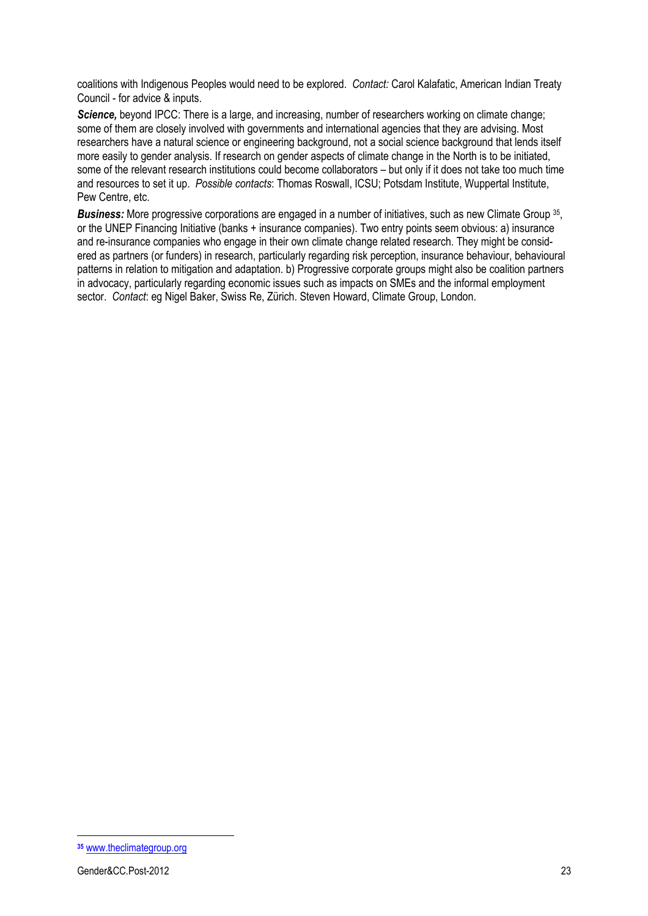coalitions with Indigenous Peoples would need to be explored. *Contact:* Carol Kalafatic, American Indian Treaty Council - for advice & inputs.

**Science,** beyond IPCC: There is a large, and increasing, number of researchers working on climate change; some of them are closely involved with governments and international agencies that they are advising. Most researchers have a natural science or engineering background, not a social science background that lends itself more easily to gender analysis. If research on gender aspects of climate change in the North is to be initiated, some of the relevant research institutions could become collaborators – but only if it does not take too much time and resources to set it up. *Possible contacts*: Thomas Roswall, ICSU; Potsdam Institute, Wuppertal Institute, Pew Centre, etc.

*Business:* More progressive corporations are engaged in a number of initiatives, such as new Climate Group 35, or the UNEP Financing Initiative (banks + insurance companies). Two entry points seem obvious: a) insurance and re-insurance companies who engage in their own climate change related research. They might be considered as partners (or funders) in research, particularly regarding risk perception, insurance behaviour, behavioural patterns in relation to mitigation and adaptation. b) Progressive corporate groups might also be coalition partners in advocacy, particularly regarding economic issues such as impacts on SMEs and the informal employment sector. *Contact*: eg Nigel Baker, Swiss Re, Zürich. Steven Howard, Climate Group, London.

**<sup>35</sup>** www.theclimategroup.org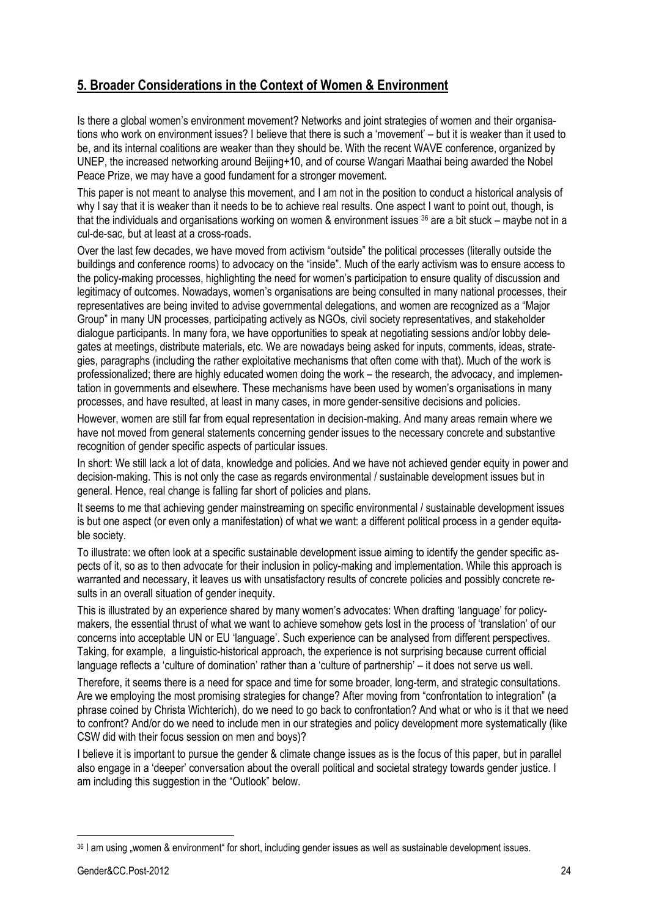# **5. Broader Considerations in the Context of Women & Environment**

Is there a global women's environment movement? Networks and joint strategies of women and their organisations who work on environment issues? I believe that there is such a 'movement' – but it is weaker than it used to be, and its internal coalitions are weaker than they should be. With the recent WAVE conference, organized by UNEP, the increased networking around Beijing+10, and of course Wangari Maathai being awarded the Nobel Peace Prize, we may have a good fundament for a stronger movement.

This paper is not meant to analyse this movement, and I am not in the position to conduct a historical analysis of why I say that it is weaker than it needs to be to achieve real results. One aspect I want to point out, though, is that the individuals and organisations working on women & environment issues <sup>36</sup> are a bit stuck – maybe not in a cul-de-sac, but at least at a cross-roads.

Over the last few decades, we have moved from activism "outside" the political processes (literally outside the buildings and conference rooms) to advocacy on the "inside". Much of the early activism was to ensure access to the policy-making processes, highlighting the need for women's participation to ensure quality of discussion and legitimacy of outcomes. Nowadays, women's organisations are being consulted in many national processes, their representatives are being invited to advise governmental delegations, and women are recognized as a "Major" Group" in many UN processes, participating actively as NGOs, civil society representatives, and stakeholder dialogue participants. In many fora, we have opportunities to speak at negotiating sessions and/or lobby delegates at meetings, distribute materials, etc. We are nowadays being asked for inputs, comments, ideas, strategies, paragraphs (including the rather exploitative mechanisms that often come with that). Much of the work is professionalized; there are highly educated women doing the work – the research, the advocacy, and implementation in governments and elsewhere. These mechanisms have been used by women's organisations in many processes, and have resulted, at least in many cases, in more gender-sensitive decisions and policies.

However, women are still far from equal representation in decision-making. And many areas remain where we have not moved from general statements concerning gender issues to the necessary concrete and substantive recognition of gender specific aspects of particular issues.

In short: We still lack a lot of data, knowledge and policies. And we have not achieved gender equity in power and decision-making. This is not only the case as regards environmental / sustainable development issues but in general. Hence, real change is falling far short of policies and plans.

It seems to me that achieving gender mainstreaming on specific environmental / sustainable development issues is but one aspect (or even only a manifestation) of what we want: a different political process in a gender equitable society.

To illustrate: we often look at a specific sustainable development issue aiming to identify the gender specific aspects of it, so as to then advocate for their inclusion in policy-making and implementation. While this approach is warranted and necessary, it leaves us with unsatisfactory results of concrete policies and possibly concrete results in an overall situation of gender inequity.

This is illustrated by an experience shared by many women's advocates: When drafting 'language' for policymakers, the essential thrust of what we want to achieve somehow gets lost in the process of 'translation' of our concerns into acceptable UN or EU 'language'. Such experience can be analysed from different perspectives. Taking, for example, a linguistic-historical approach, the experience is not surprising because current official language reflects a 'culture of domination' rather than a 'culture of partnership' – it does not serve us well.

Therefore, it seems there is a need for space and time for some broader, long-term, and strategic consultations. Are we employing the most promising strategies for change? After moving from "confrontation to integration" (a phrase coined by Christa Wichterich), do we need to go back to confrontation? And what or who is it that we need to confront? And/or do we need to include men in our strategies and policy development more systematically (like CSW did with their focus session on men and boys)?

I believe it is important to pursue the gender & climate change issues as is the focus of this paper, but in parallel also engage in a 'deeper' conversation about the overall political and societal strategy towards gender justice. I am including this suggestion in the "Outlook" below.

<sup>36 |</sup> am using "women & environment" for short, including gender issues as well as sustainable development issues.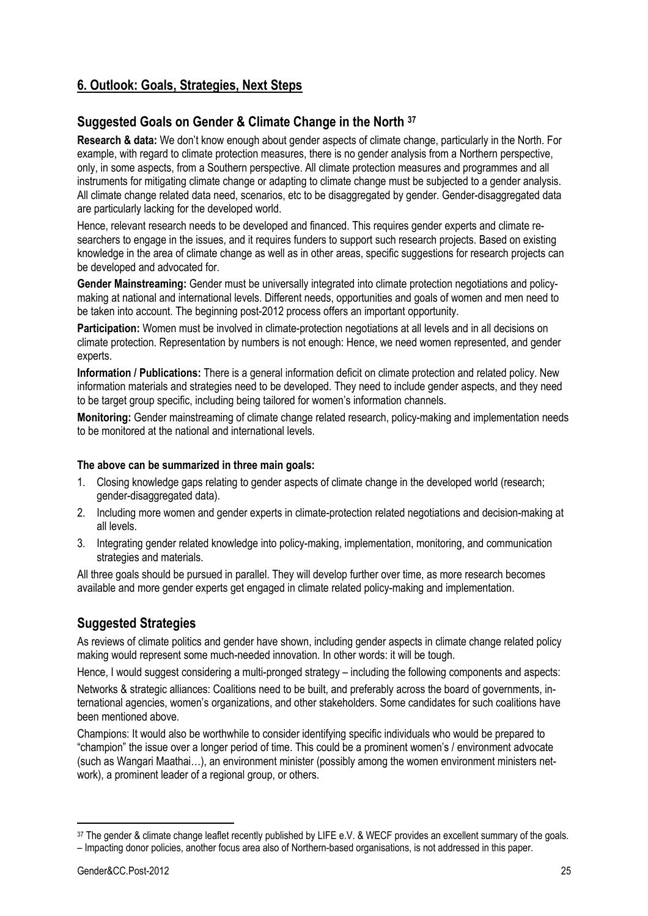# **6. Outlook: Goals, Strategies, Next Steps**

# **Suggested Goals on Gender & Climate Change in the North 37**

**Research & data:** We don't know enough about gender aspects of climate change, particularly in the North. For example, with regard to climate protection measures, there is no gender analysis from a Northern perspective, only, in some aspects, from a Southern perspective. All climate protection measures and programmes and all instruments for mitigating climate change or adapting to climate change must be subjected to a gender analysis. All climate change related data need, scenarios, etc to be disaggregated by gender. Gender-disaggregated data are particularly lacking for the developed world.

Hence, relevant research needs to be developed and financed. This requires gender experts and climate researchers to engage in the issues, and it requires funders to support such research projects. Based on existing knowledge in the area of climate change as well as in other areas, specific suggestions for research projects can be developed and advocated for.

**Gender Mainstreaming:** Gender must be universally integrated into climate protection negotiations and policymaking at national and international levels. Different needs, opportunities and goals of women and men need to be taken into account. The beginning post-2012 process offers an important opportunity.

**Participation:** Women must be involved in climate-protection negotiations at all levels and in all decisions on climate protection. Representation by numbers is not enough: Hence, we need women represented, and gender experts.

**Information / Publications:** There is a general information deficit on climate protection and related policy. New information materials and strategies need to be developed. They need to include gender aspects, and they need to be target group specific, including being tailored for women's information channels.

**Monitoring:** Gender mainstreaming of climate change related research, policy-making and implementation needs to be monitored at the national and international levels.

#### **The above can be summarized in three main goals:**

- 1. Closing knowledge gaps relating to gender aspects of climate change in the developed world (research; gender-disaggregated data).
- 2. Including more women and gender experts in climate-protection related negotiations and decision-making at all levels.
- 3. Integrating gender related knowledge into policy-making, implementation, monitoring, and communication strategies and materials.

All three goals should be pursued in parallel. They will develop further over time, as more research becomes available and more gender experts get engaged in climate related policy-making and implementation.

# **Suggested Strategies**

As reviews of climate politics and gender have shown, including gender aspects in climate change related policy making would represent some much-needed innovation. In other words: it will be tough.

Hence, I would suggest considering a multi-pronged strategy – including the following components and aspects:

Networks & strategic alliances: Coalitions need to be built, and preferably across the board of governments, international agencies, women's organizations, and other stakeholders. Some candidates for such coalitions have been mentioned above.

Champions: It would also be worthwhile to consider identifying specific individuals who would be prepared to "champion" the issue over a longer period of time. This could be a prominent women's / environment advocate (such as Wangari Maathai…), an environment minister (possibly among the women environment ministers network), a prominent leader of a regional group, or others.

<sup>37</sup> The gender & climate change leaflet recently published by LIFE e.V. & WECF provides an excellent summary of the goals.

<sup>–</sup> Impacting donor policies, another focus area also of Northern-based organisations, is not addressed in this paper.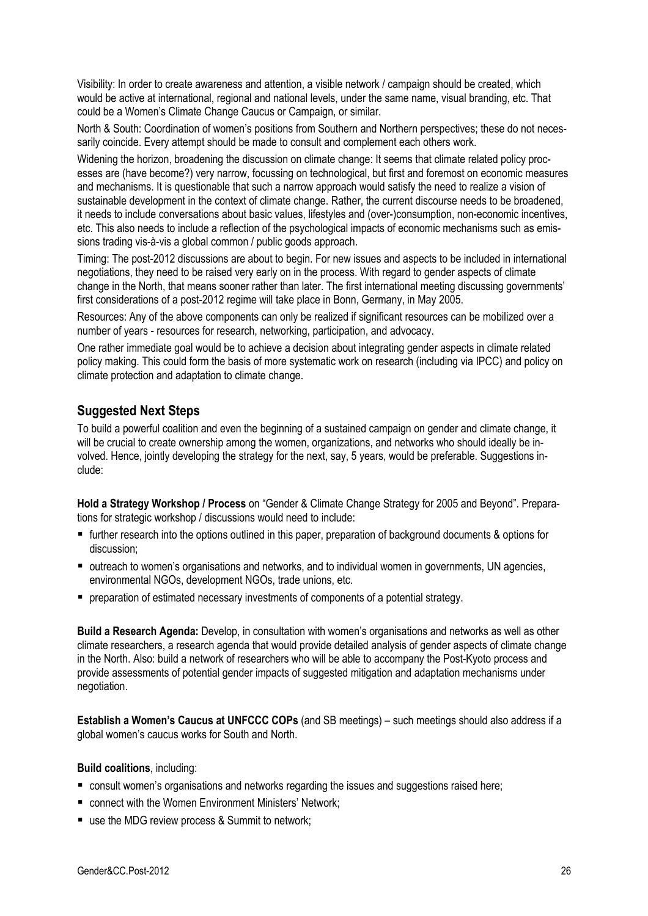Visibility: In order to create awareness and attention, a visible network / campaign should be created, which would be active at international, regional and national levels, under the same name, visual branding, etc. That could be a Women's Climate Change Caucus or Campaign, or similar.

North & South: Coordination of women's positions from Southern and Northern perspectives; these do not necessarily coincide. Every attempt should be made to consult and complement each others work.

Widening the horizon, broadening the discussion on climate change: It seems that climate related policy processes are (have become?) very narrow, focussing on technological, but first and foremost on economic measures and mechanisms. It is questionable that such a narrow approach would satisfy the need to realize a vision of sustainable development in the context of climate change. Rather, the current discourse needs to be broadened, it needs to include conversations about basic values, lifestyles and (over-)consumption, non-economic incentives, etc. This also needs to include a reflection of the psychological impacts of economic mechanisms such as emissions trading vis-à-vis a global common / public goods approach.

Timing: The post-2012 discussions are about to begin. For new issues and aspects to be included in international negotiations, they need to be raised very early on in the process. With regard to gender aspects of climate change in the North, that means sooner rather than later. The first international meeting discussing governments' first considerations of a post-2012 regime will take place in Bonn, Germany, in May 2005.

Resources: Any of the above components can only be realized if significant resources can be mobilized over a number of years - resources for research, networking, participation, and advocacy.

One rather immediate goal would be to achieve a decision about integrating gender aspects in climate related policy making. This could form the basis of more systematic work on research (including via IPCC) and policy on climate protection and adaptation to climate change.

# **Suggested Next Steps**

To build a powerful coalition and even the beginning of a sustained campaign on gender and climate change, it will be crucial to create ownership among the women, organizations, and networks who should ideally be involved. Hence, jointly developing the strategy for the next, say, 5 years, would be preferable. Suggestions include:

**Hold a Strategy Workshop / Process** on "Gender & Climate Change Strategy for 2005 and Beyond". Preparations for strategic workshop / discussions would need to include:

- further research into the options outlined in this paper, preparation of background documents & options for discussion;
- outreach to women's organisations and networks, and to individual women in governments, UN agencies, environmental NGOs, development NGOs, trade unions, etc.
- **P** preparation of estimated necessary investments of components of a potential strategy.

**Build a Research Agenda:** Develop, in consultation with women's organisations and networks as well as other climate researchers, a research agenda that would provide detailed analysis of gender aspects of climate change in the North. Also: build a network of researchers who will be able to accompany the Post-Kyoto process and provide assessments of potential gender impacts of suggested mitigation and adaptation mechanisms under negotiation.

**Establish a Women's Caucus at UNFCCC COPs** (and SB meetings) – such meetings should also address if a global women's caucus works for South and North.

#### **Build coalitions**, including:

- consult women's organisations and networks regarding the issues and suggestions raised here;
- connect with the Women Environment Ministers' Network;
- use the MDG review process & Summit to network;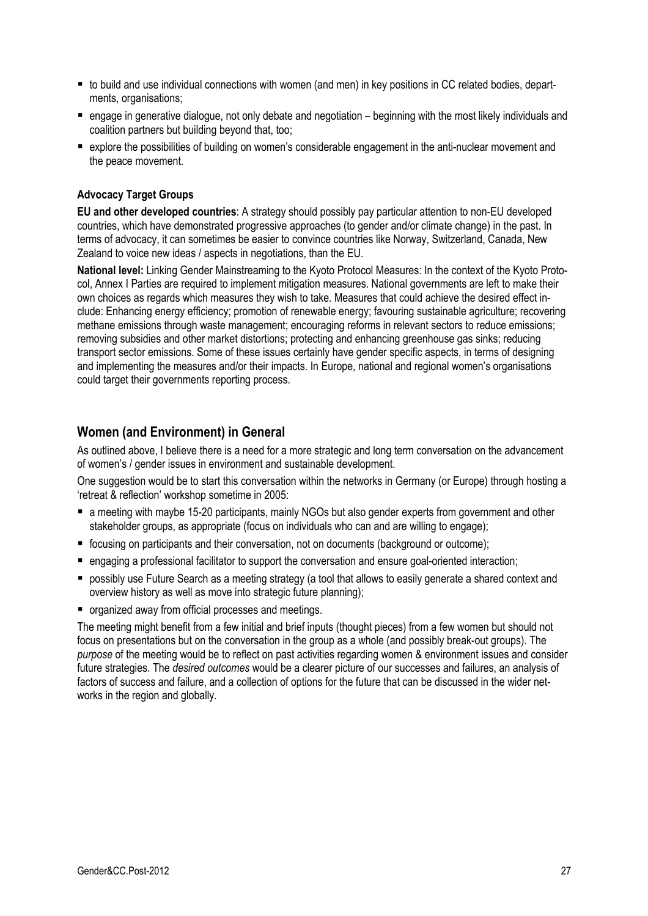- to build and use individual connections with women (and men) in key positions in CC related bodies, departments, organisations;
- engage in generative dialogue, not only debate and negotiation beginning with the most likely individuals and coalition partners but building beyond that, too;
- explore the possibilities of building on women's considerable engagement in the anti-nuclear movement and the peace movement.

#### **Advocacy Target Groups**

**EU and other developed countries**: A strategy should possibly pay particular attention to non-EU developed countries, which have demonstrated progressive approaches (to gender and/or climate change) in the past. In terms of advocacy, it can sometimes be easier to convince countries like Norway, Switzerland, Canada, New Zealand to voice new ideas / aspects in negotiations, than the EU.

**National level:** Linking Gender Mainstreaming to the Kyoto Protocol Measures: In the context of the Kyoto Protocol, Annex I Parties are required to implement mitigation measures. National governments are left to make their own choices as regards which measures they wish to take. Measures that could achieve the desired effect include: Enhancing energy efficiency; promotion of renewable energy; favouring sustainable agriculture; recovering methane emissions through waste management; encouraging reforms in relevant sectors to reduce emissions; removing subsidies and other market distortions; protecting and enhancing greenhouse gas sinks; reducing transport sector emissions. Some of these issues certainly have gender specific aspects, in terms of designing and implementing the measures and/or their impacts. In Europe, national and regional women's organisations could target their governments reporting process.

### **Women (and Environment) in General**

As outlined above, I believe there is a need for a more strategic and long term conversation on the advancement of women's / gender issues in environment and sustainable development.

One suggestion would be to start this conversation within the networks in Germany (or Europe) through hosting a 'retreat & reflection' workshop sometime in 2005:

- a meeting with maybe 15-20 participants, mainly NGOs but also gender experts from government and other stakeholder groups, as appropriate (focus on individuals who can and are willing to engage);
- focusing on participants and their conversation, not on documents (background or outcome);
- engaging a professional facilitator to support the conversation and ensure goal-oriented interaction;
- possibly use Future Search as a meeting strategy (a tool that allows to easily generate a shared context and overview history as well as move into strategic future planning);
- organized away from official processes and meetings.

The meeting might benefit from a few initial and brief inputs (thought pieces) from a few women but should not focus on presentations but on the conversation in the group as a whole (and possibly break-out groups). The *purpose* of the meeting would be to reflect on past activities regarding women & environment issues and consider future strategies. The *desired outcomes* would be a clearer picture of our successes and failures, an analysis of factors of success and failure, and a collection of options for the future that can be discussed in the wider networks in the region and globally.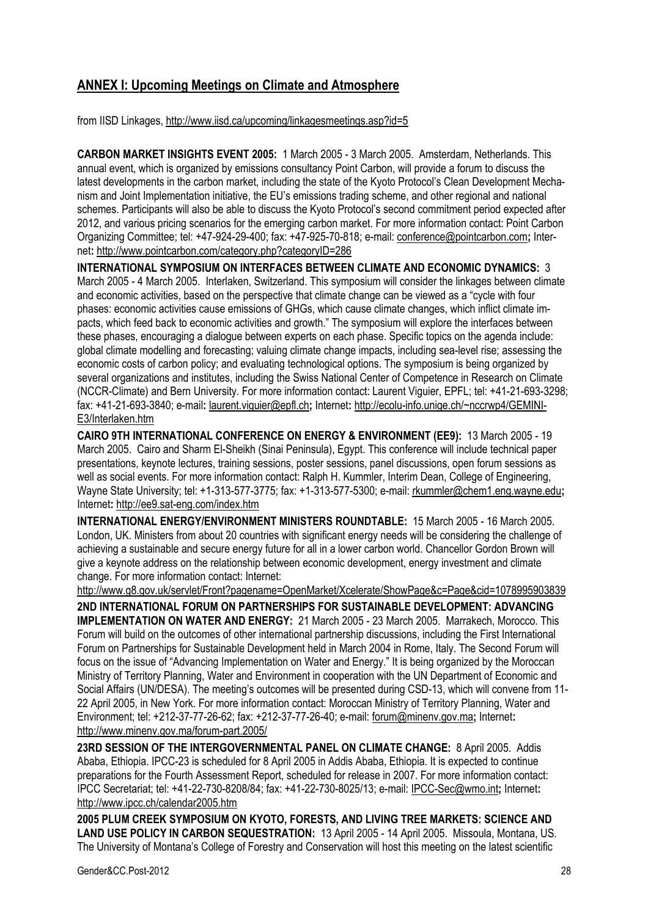# **ANNEX I: Upcoming Meetings on Climate and Atmosphere**

from IISD Linkages, http://www.iisd.ca/upcoming/linkagesmeetings.asp?id=5

**CARBON MARKET INSIGHTS EVENT 2005:** 1 March 2005 - 3 March 2005. Amsterdam, Netherlands. This annual event, which is organized by emissions consultancy Point Carbon, will provide a forum to discuss the latest developments in the carbon market, including the state of the Kyoto Protocol's Clean Development Mechanism and Joint Implementation initiative, the EU's emissions trading scheme, and other regional and national schemes. Participants will also be able to discuss the Kyoto Protocol's second commitment period expected after 2012, and various pricing scenarios for the emerging carbon market. For more information contact: Point Carbon Organizing Committee; tel: +47-924-29-400; fax: +47-925-70-818; e-mail: conference@pointcarbon.com**;** Internet**:** http://www.pointcarbon.com/category.php?categoryID=286

**INTERNATIONAL SYMPOSIUM ON INTERFACES BETWEEN CLIMATE AND ECONOMIC DYNAMICS:** 3 March 2005 - 4 March 2005. Interlaken, Switzerland. This symposium will consider the linkages between climate and economic activities, based on the perspective that climate change can be viewed as a "cycle with four phases: economic activities cause emissions of GHGs, which cause climate changes, which inflict climate impacts, which feed back to economic activities and growth." The symposium will explore the interfaces between these phases, encouraging a dialogue between experts on each phase. Specific topics on the agenda include: global climate modelling and forecasting; valuing climate change impacts, including sea-level rise; assessing the economic costs of carbon policy; and evaluating technological options. The symposium is being organized by several organizations and institutes, including the Swiss National Center of Competence in Research on Climate (NCCR-Climate) and Bern University. For more information contact: Laurent Viguier, EPFL; tel: +41-21-693-3298; fax: +41-21-693-3840; e-mail**:** laurent.viguier@epfl.ch**;** Internet**:** http://ecolu-info.unige.ch/~nccrwp4/GEMINI-E3/Interlaken.htm

**CAIRO 9TH INTERNATIONAL CONFERENCE ON ENERGY & ENVIRONMENT (EE9):** 13 March 2005 - 19 March 2005. Cairo and Sharm El-Sheikh (Sinai Peninsula), Egypt. This conference will include technical paper presentations, keynote lectures, training sessions, poster sessions, panel discussions, open forum sessions as well as social events. For more information contact: Ralph H. Kummler, Interim Dean, College of Engineering, Wayne State University; tel: +1-313-577-3775; fax: +1-313-577-5300; e-mail: rkummler@chem1.eng.wayne.edu**;**  Internet**:** http://ee9.sat-eng.com/index.htm

**INTERNATIONAL ENERGY/ENVIRONMENT MINISTERS ROUNDTABLE:** 15 March 2005 - 16 March 2005. London, UK. Ministers from about 20 countries with significant energy needs will be considering the challenge of achieving a sustainable and secure energy future for all in a lower carbon world. Chancellor Gordon Brown will give a keynote address on the relationship between economic development, energy investment and climate change. For more information contact: Internet:

http://www.g8.gov.uk/servlet/Front?pagename=OpenMarket/Xcelerate/ShowPage&c=Page&cid=1078995903839 **2ND INTERNATIONAL FORUM ON PARTNERSHIPS FOR SUSTAINABLE DEVELOPMENT: ADVANCING IMPLEMENTATION ON WATER AND ENERGY:** 21 March 2005 - 23 March 2005. Marrakech, Morocco. This Forum will build on the outcomes of other international partnership discussions, including the First International Forum on Partnerships for Sustainable Development held in March 2004 in Rome, Italy. The Second Forum will focus on the issue of "Advancing Implementation on Water and Energy." It is being organized by the Moroccan Ministry of Territory Planning, Water and Environment in cooperation with the UN Department of Economic and Social Affairs (UN/DESA). The meeting's outcomes will be presented during CSD-13, which will convene from 11- 22 April 2005, in New York. For more information contact: Moroccan Ministry of Territory Planning, Water and Environment; tel: +212-37-77-26-62; fax: +212-37-77-26-40; e-mail: forum@minenv.gov.ma**;** Internet**:**  http://www.minenv.gov.ma/forum-part.2005/

**23RD SESSION OF THE INTERGOVERNMENTAL PANEL ON CLIMATE CHANGE:** 8 April 2005. Addis Ababa, Ethiopia. IPCC-23 is scheduled for 8 April 2005 in Addis Ababa, Ethiopia. It is expected to continue preparations for the Fourth Assessment Report, scheduled for release in 2007. For more information contact: IPCC Secretariat; tel: +41-22-730-8208/84; fax: +41-22-730-8025/13; e-mail: IPCC-Sec@wmo.int**;** Internet**:**  http://www.ipcc.ch/calendar2005.htm

**2005 PLUM CREEK SYMPOSIUM ON KYOTO, FORESTS, AND LIVING TREE MARKETS: SCIENCE AND LAND USE POLICY IN CARBON SEQUESTRATION:** 13 April 2005 - 14 April 2005. Missoula, Montana, US. The University of Montana's College of Forestry and Conservation will host this meeting on the latest scientific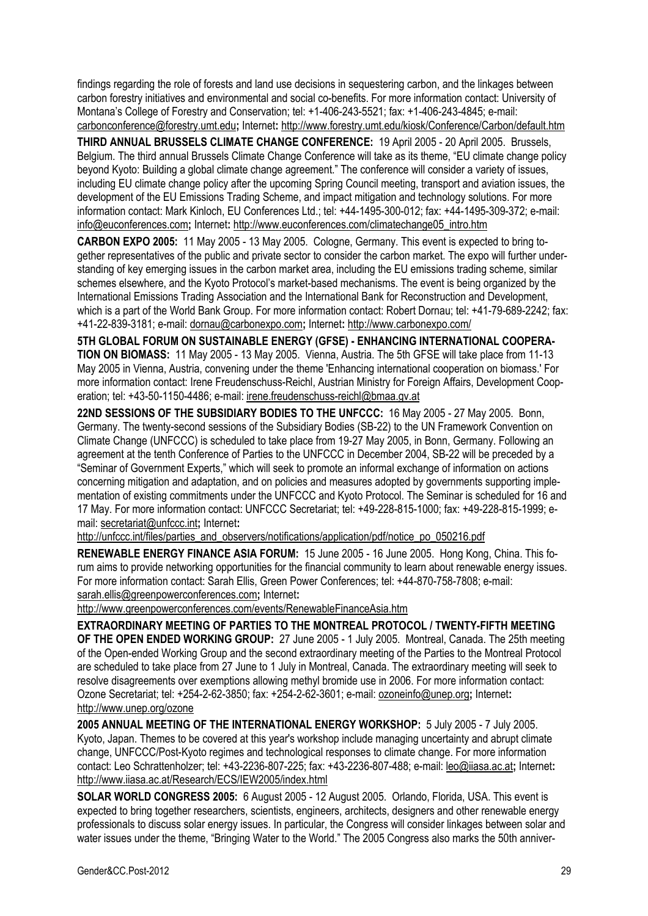findings regarding the role of forests and land use decisions in sequestering carbon, and the linkages between carbon forestry initiatives and environmental and social co-benefits. For more information contact: University of Montana's College of Forestry and Conservation; tel: +1-406-243-5521; fax: +1-406-243-4845; e-mail: carbonconference@forestry.umt.edu**;** Internet**:** http://www.forestry.umt.edu/kiosk/Conference/Carbon/default.htm

**THIRD ANNUAL BRUSSELS CLIMATE CHANGE CONFERENCE:** 19 April 2005 - 20 April 2005. Brussels, Belgium. The third annual Brussels Climate Change Conference will take as its theme, "EU climate change policy beyond Kyoto: Building a global climate change agreement." The conference will consider a variety of issues, including EU climate change policy after the upcoming Spring Council meeting, transport and aviation issues, the development of the EU Emissions Trading Scheme, and impact mitigation and technology solutions. For more information contact: Mark Kinloch, EU Conferences Ltd.; tel: +44-1495-300-012; fax: +44-1495-309-372; e-mail: info@euconferences.com**;** Internet**:** http://www.euconferences.com/climatechange05\_intro.htm

**CARBON EXPO 2005:** 11 May 2005 - 13 May 2005. Cologne, Germany. This event is expected to bring together representatives of the public and private sector to consider the carbon market. The expo will further understanding of key emerging issues in the carbon market area, including the EU emissions trading scheme, similar schemes elsewhere, and the Kyoto Protocol's market-based mechanisms. The event is being organized by the International Emissions Trading Association and the International Bank for Reconstruction and Development, which is a part of the World Bank Group. For more information contact: Robert Dornau; tel: +41-79-689-2242; fax: +41-22-839-3181; e-mail: dornau@carbonexpo.com**;** Internet**:** http://www.carbonexpo.com/

**5TH GLOBAL FORUM ON SUSTAINABLE ENERGY (GFSE) - ENHANCING INTERNATIONAL COOPERA-TION ON BIOMASS:** 11 May 2005 - 13 May 2005. Vienna, Austria. The 5th GFSE will take place from 11-13 May 2005 in Vienna, Austria, convening under the theme 'Enhancing international cooperation on biomass.' For more information contact: Irene Freudenschuss-Reichl, Austrian Ministry for Foreign Affairs, Development Cooperation; tel: +43-50-1150-4486; e-mail: irene.freudenschuss-reichl@bmaa.gv.at

**22ND SESSIONS OF THE SUBSIDIARY BODIES TO THE UNFCCC:** 16 May 2005 - 27 May 2005. Bonn, Germany. The twenty-second sessions of the Subsidiary Bodies (SB-22) to the UN Framework Convention on Climate Change (UNFCCC) is scheduled to take place from 19-27 May 2005, in Bonn, Germany. Following an agreement at the tenth Conference of Parties to the UNFCCC in December 2004, SB-22 will be preceded by a "Seminar of Government Experts," which will seek to promote an informal exchange of information on actions concerning mitigation and adaptation, and on policies and measures adopted by governments supporting implementation of existing commitments under the UNFCCC and Kyoto Protocol. The Seminar is scheduled for 16 and 17 May. For more information contact: UNFCCC Secretariat; tel: +49-228-815-1000; fax: +49-228-815-1999; email: secretariat@unfccc.int**;** Internet**:** 

http://unfccc.int/files/parties\_and\_observers/notifications/application/pdf/notice\_po\_050216.pdf

**RENEWABLE ENERGY FINANCE ASIA FORUM:** 15 June 2005 - 16 June 2005. Hong Kong, China. This forum aims to provide networking opportunities for the financial community to learn about renewable energy issues. For more information contact: Sarah Ellis, Green Power Conferences; tel: +44-870-758-7808; e-mail: sarah.ellis@greenpowerconferences.com**;** Internet**:** 

http://www.greenpowerconferences.com/events/RenewableFinanceAsia.htm

**EXTRAORDINARY MEETING OF PARTIES TO THE MONTREAL PROTOCOL / TWENTY-FIFTH MEETING OF THE OPEN ENDED WORKING GROUP:** 27 June 2005 - 1 July 2005. Montreal, Canada. The 25th meeting of the Open-ended Working Group and the second extraordinary meeting of the Parties to the Montreal Protocol are scheduled to take place from 27 June to 1 July in Montreal, Canada. The extraordinary meeting will seek to resolve disagreements over exemptions allowing methyl bromide use in 2006. For more information contact: Ozone Secretariat; tel: +254-2-62-3850; fax: +254-2-62-3601; e-mail: ozoneinfo@unep.org**;** Internet**:**  http://www.unep.org/ozone

**2005 ANNUAL MEETING OF THE INTERNATIONAL ENERGY WORKSHOP:** 5 July 2005 - 7 July 2005. Kyoto, Japan. Themes to be covered at this year's workshop include managing uncertainty and abrupt climate change, UNFCCC/Post-Kyoto regimes and technological responses to climate change. For more information contact: Leo Schrattenholzer; tel: +43-2236-807-225; fax: +43-2236-807-488; e-mail: leo@iiasa.ac.at**;** Internet**:**  http://www.iiasa.ac.at/Research/ECS/IEW2005/index.html

**SOLAR WORLD CONGRESS 2005:** 6 August 2005 - 12 August 2005. Orlando, Florida, USA. This event is expected to bring together researchers, scientists, engineers, architects, designers and other renewable energy professionals to discuss solar energy issues. In particular, the Congress will consider linkages between solar and water issues under the theme, "Bringing Water to the World." The 2005 Congress also marks the 50th anniver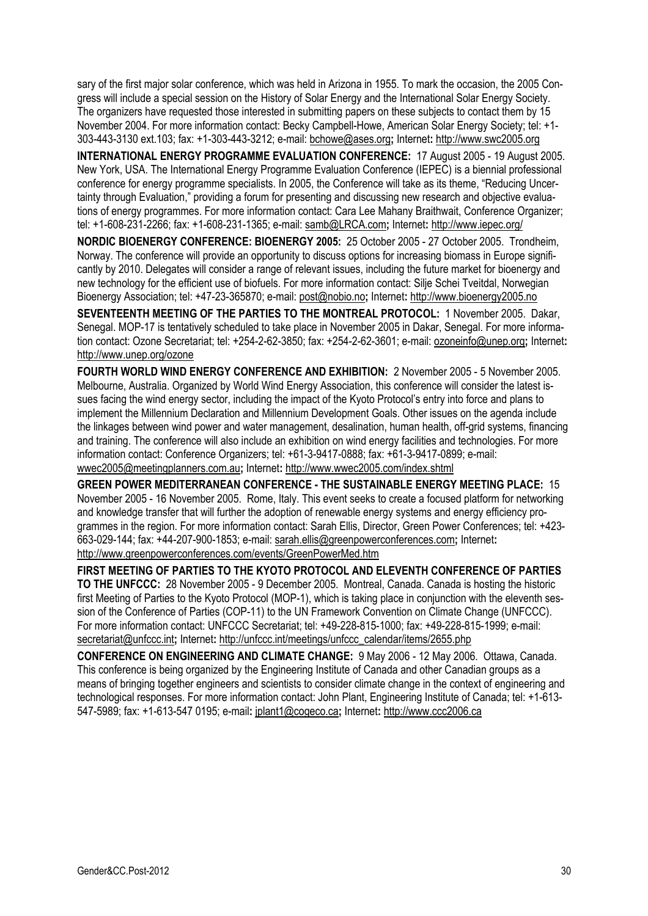sary of the first major solar conference, which was held in Arizona in 1955. To mark the occasion, the 2005 Congress will include a special session on the History of Solar Energy and the International Solar Energy Society. The organizers have requested those interested in submitting papers on these subjects to contact them by 15 November 2004. For more information contact: Becky Campbell-Howe, American Solar Energy Society; tel: +1- 303-443-3130 ext.103; fax: +1-303-443-3212; e-mail: bchowe@ases.org**;** Internet**:** http://www.swc2005.org

**INTERNATIONAL ENERGY PROGRAMME EVALUATION CONFERENCE:** 17 August 2005 - 19 August 2005. New York, USA. The International Energy Programme Evaluation Conference (IEPEC) is a biennial professional conference for energy programme specialists. In 2005, the Conference will take as its theme, "Reducing Uncertainty through Evaluation," providing a forum for presenting and discussing new research and objective evaluations of energy programmes. For more information contact: Cara Lee Mahany Braithwait, Conference Organizer; tel: +1-608-231-2266; fax: +1-608-231-1365; e-mail: samb@LRCA.com**;** Internet**:** http://www.iepec.org/

**NORDIC BIOENERGY CONFERENCE: BIOENERGY 2005:** 25 October 2005 - 27 October 2005. Trondheim, Norway. The conference will provide an opportunity to discuss options for increasing biomass in Europe significantly by 2010. Delegates will consider a range of relevant issues, including the future market for bioenergy and new technology for the efficient use of biofuels. For more information contact: Silje Schei Tveitdal, Norwegian Bioenergy Association; tel: +47-23-365870; e-mail: post@nobio.no**;** Internet**:** http://www.bioenergy2005.no

**SEVENTEENTH MEETING OF THE PARTIES TO THE MONTREAL PROTOCOL:** 1 November 2005. Dakar, Senegal. MOP-17 is tentatively scheduled to take place in November 2005 in Dakar, Senegal. For more information contact: Ozone Secretariat; tel: +254-2-62-3850; fax: +254-2-62-3601; e-mail: ozoneinfo@unep.org**;** Internet**:**  http://www.unep.org/ozone

**FOURTH WORLD WIND ENERGY CONFERENCE AND EXHIBITION:** 2 November 2005 - 5 November 2005. Melbourne, Australia. Organized by World Wind Energy Association, this conference will consider the latest issues facing the wind energy sector, including the impact of the Kyoto Protocol's entry into force and plans to implement the Millennium Declaration and Millennium Development Goals. Other issues on the agenda include the linkages between wind power and water management, desalination, human health, off-grid systems, financing and training. The conference will also include an exhibition on wind energy facilities and technologies. For more information contact: Conference Organizers; tel: +61-3-9417-0888; fax: +61-3-9417-0899; e-mail: wwec2005@meetingplanners.com.au**;** Internet**:** http://www.wwec2005.com/index.shtml

**GREEN POWER MEDITERRANEAN CONFERENCE - THE SUSTAINABLE ENERGY MEETING PLACE:** 15 November 2005 - 16 November 2005. Rome, Italy. This event seeks to create a focused platform for networking and knowledge transfer that will further the adoption of renewable energy systems and energy efficiency programmes in the region. For more information contact: Sarah Ellis, Director, Green Power Conferences; tel: +423- 663-029-144; fax: +44-207-900-1853; e-mail: sarah.ellis@greenpowerconferences.com**;** Internet**:**  http://www.greenpowerconferences.com/events/GreenPowerMed.htm

**FIRST MEETING OF PARTIES TO THE KYOTO PROTOCOL AND ELEVENTH CONFERENCE OF PARTIES TO THE UNFCCC:** 28 November 2005 - 9 December 2005. Montreal, Canada. Canada is hosting the historic first Meeting of Parties to the Kyoto Protocol (MOP-1), which is taking place in conjunction with the eleventh session of the Conference of Parties (COP-11) to the UN Framework Convention on Climate Change (UNFCCC). For more information contact: UNFCCC Secretariat; tel: +49-228-815-1000; fax: +49-228-815-1999; e-mail: secretariat@unfccc.int**;** Internet**:** http://unfccc.int/meetings/unfccc\_calendar/items/2655.php

**CONFERENCE ON ENGINEERING AND CLIMATE CHANGE:** 9 May 2006 - 12 May 2006. Ottawa, Canada. This conference is being organized by the Engineering Institute of Canada and other Canadian groups as a means of bringing together engineers and scientists to consider climate change in the context of engineering and technological responses. For more information contact: John Plant, Engineering Institute of Canada; tel: +1-613- 547-5989; fax: +1-613-547 0195; e-mail**:** jplant1@cogeco.ca**;** Internet**:** http://www.ccc2006.ca